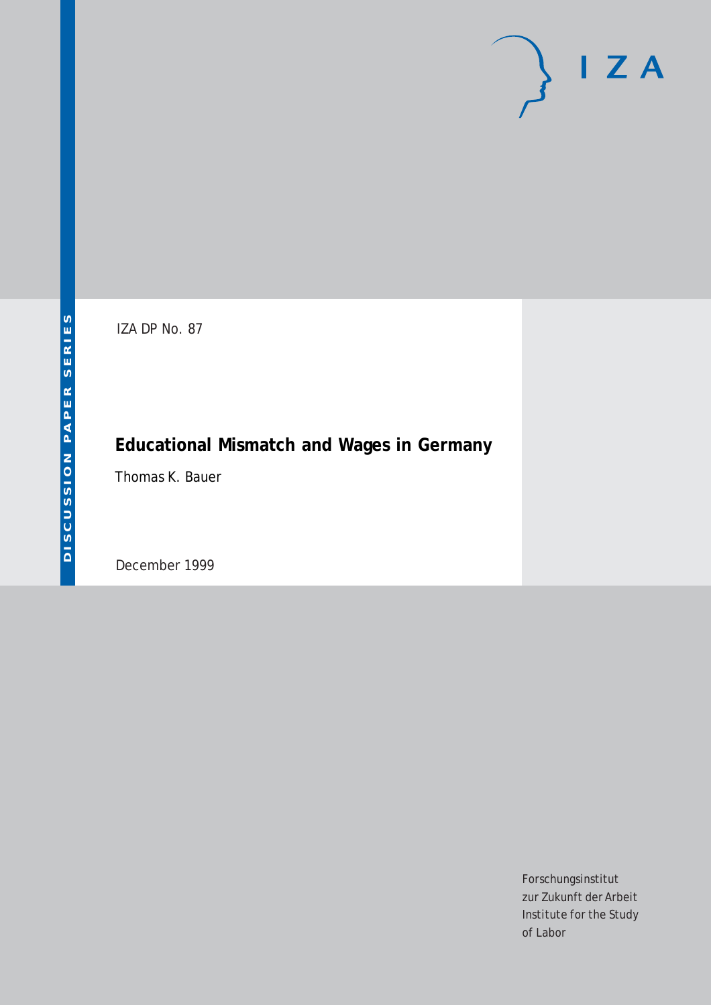# $\mathsf{I}$  Z A

IZA DP No. 87

## **Educational Mismatch and Wages in Germany**

Thomas K. Bauer

December 1999

Forschungsinstitut zur Zukunft der Arbeit Institute for the Study of Labor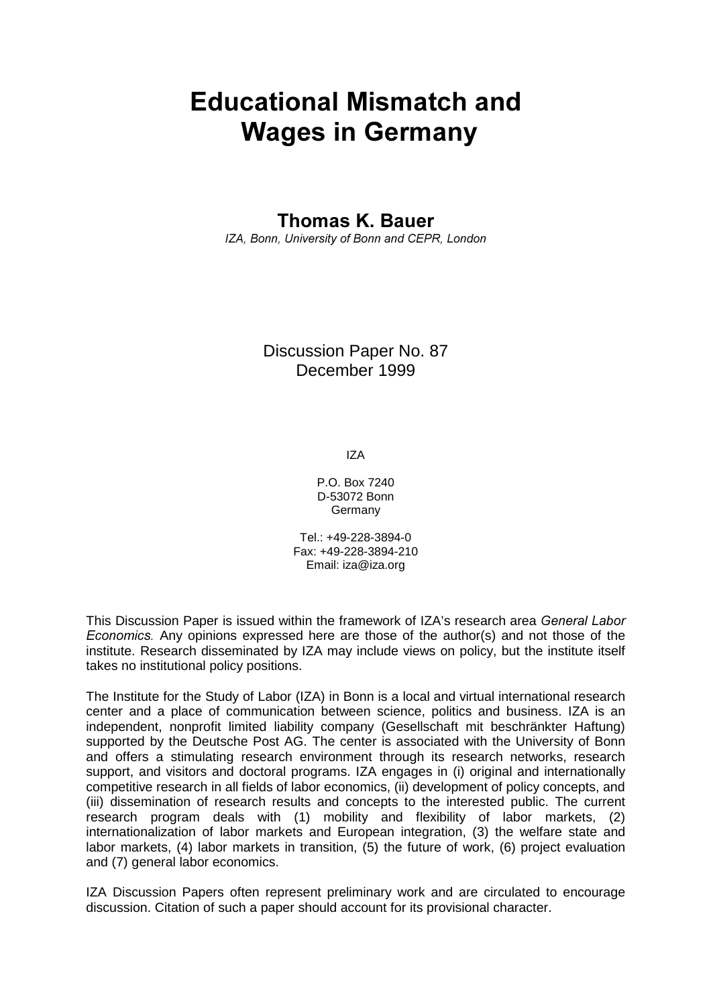## **Educational Mismatch and Wages in Germany**

## **Thomas K. Bauer**

IZA, Bonn, University of Bonn and CEPR, London

### Discussion Paper No. 87 December 1999

IZA

P.O. Box 7240 D-53072 Bonn Germany

Tel.: +49-228-3894-0 Fax: +49-228-3894-210 Email: iza@iza.org

This Discussion Paper is issued within the framework of IZA's research area General Labor Economics. Any opinions expressed here are those of the author(s) and not those of the institute. Research disseminated by IZA may include views on policy, but the institute itself takes no institutional policy positions.

The Institute for the Study of Labor (IZA) in Bonn is a local and virtual international research center and a place of communication between science, politics and business. IZA is an independent, nonprofit limited liability company (Gesellschaft mit beschränkter Haftung) supported by the Deutsche Post AG. The center is associated with the University of Bonn and offers a stimulating research environment through its research networks, research support, and visitors and doctoral programs. IZA engages in (i) original and internationally competitive research in all fields of labor economics, (ii) development of policy concepts, and (iii) dissemination of research results and concepts to the interested public. The current research program deals with (1) mobility and flexibility of labor markets, (2) internationalization of labor markets and European integration, (3) the welfare state and labor markets, (4) labor markets in transition, (5) the future of work, (6) project evaluation and (7) general labor economics.

IZA Discussion Papers often represent preliminary work and are circulated to encourage discussion. Citation of such a paper should account for its provisional character.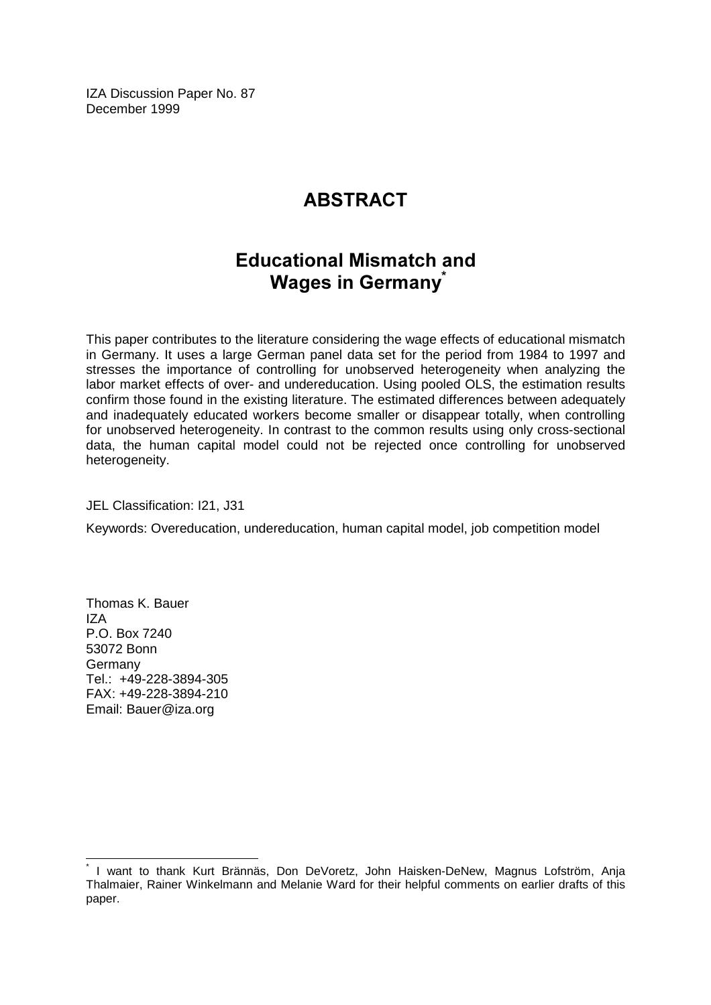IZA Discussion Paper No. 87 December 1999

## **ABSTRACT**

## **Educational Mismatch and Wages in Germany**

This paper contributes to the literature considering the wage effects of educational mismatch in Germany. It uses a large German panel data set for the period from 1984 to 1997 and stresses the importance of controlling for unobserved heterogeneity when analyzing the labor market effects of over- and undereducation. Using pooled OLS, the estimation results confirm those found in the existing literature. The estimated differences between adequately and inadequately educated workers become smaller or disappear totally, when controlling for unobserved heterogeneity. In contrast to the common results using only cross-sectional data, the human capital model could not be rejected once controlling for unobserved heterogeneity.

JEL Classification: I21, J31

Keywords: Overeducation, undereducation, human capital model, job competition model

Thomas K. Bauer IZA P.O. Box 7240 53072 Bonn Germany Tel.: +49-228-3894-305 FAX: +49-228-3894-210 Email: Bauer@iza.org

 $\overline{\phantom{a}}$ 

<sup>\*</sup> I want to thank Kurt Brännäs, Don DeVoretz, John Haisken-DeNew, Magnus Lofström, Anja Thalmaier, Rainer Winkelmann and Melanie Ward for their helpful comments on earlier drafts of this paper.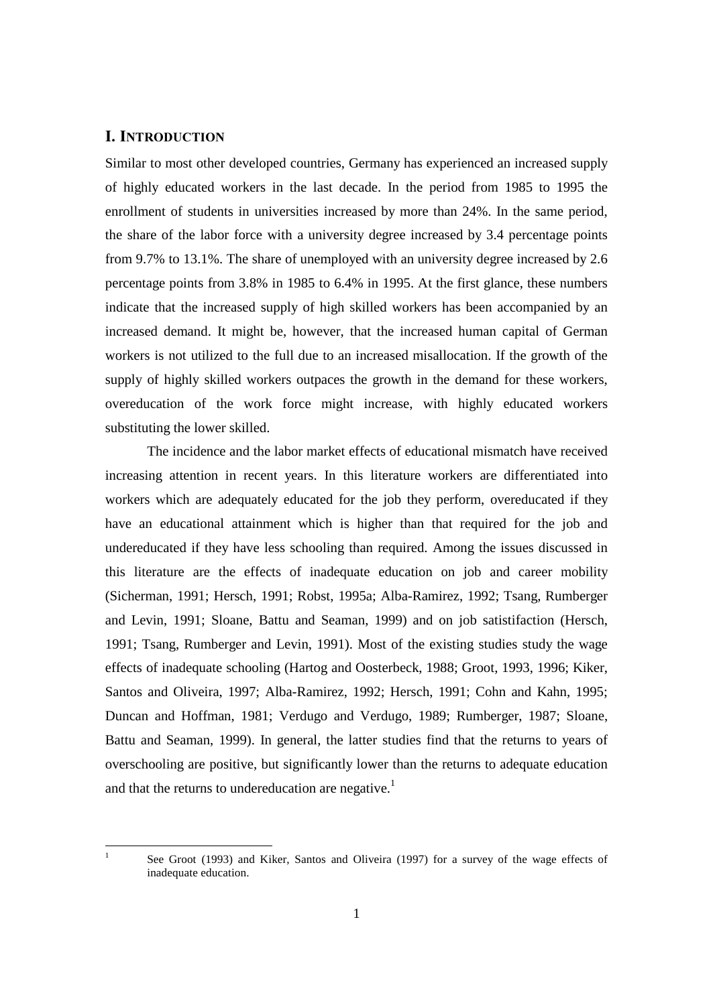#### I. INTRODUCTION

Similar to most other developed countries, Germany has experienced an increased supply of highly educated workers in the last decade. In the period from 1985 to 1995 the enrollment of students in universities increased by more than 24%. In the same period, the share of the labor force with a university degree increased by 3.4 percentage points from 9.7% to 13.1%. The share of unemployed with an university degree increased by 2.6 percentage points from 3.8% in 1985 to 6.4% in 1995. At the first glance, these numbers indicate that the increased supply of high skilled workers has been accompanied by an increased demand. It might be, however, that the increased human capital of German workers is not utilized to the full due to an increased misallocation. If the growth of the supply of highly skilled workers outpaces the growth in the demand for these workers, overeducation of the work force might increase, with highly educated workers substituting the lower skilled.

The incidence and the labor market effects of educational mismatch have received increasing attention in recent years. In this literature workers are differentiated into workers which are adequately educated for the job they perform, overeducated if they have an educational attainment which is higher than that required for the job and undereducated if they have less schooling than required. Among the issues discussed in this literature are the effects of inadequate education on job and career mobility (Sicherman, 1991; Hersch, 1991; Robst, 1995a; Alba-Ramirez, 1992; Tsang, Rumberger and Levin, 1991; Sloane, Battu and Seaman, 1999) and on job satistifaction (Hersch, 1991; Tsang, Rumberger and Levin, 1991). Most of the existing studies study the wage effects of inadequate schooling (Hartog and Oosterbeck, 1988; Groot, 1993, 1996; Kiker, Santos and Oliveira, 1997; Alba-Ramirez, 1992; Hersch, 1991; Cohn and Kahn, 1995; Duncan and Hoffman, 1981; Verdugo and Verdugo, 1989; Rumberger, 1987; Sloane, Battu and Seaman, 1999). In general, the latter studies find that the returns to years of overschooling are positive, but significantly lower than the returns to adequate education and that the returns to undereducation are negative.<sup>1</sup>

 $\frac{1}{1}$ 

See Groot (1993) and Kiker, Santos and Oliveira (1997) for a survey of the wage effects of inadequate education.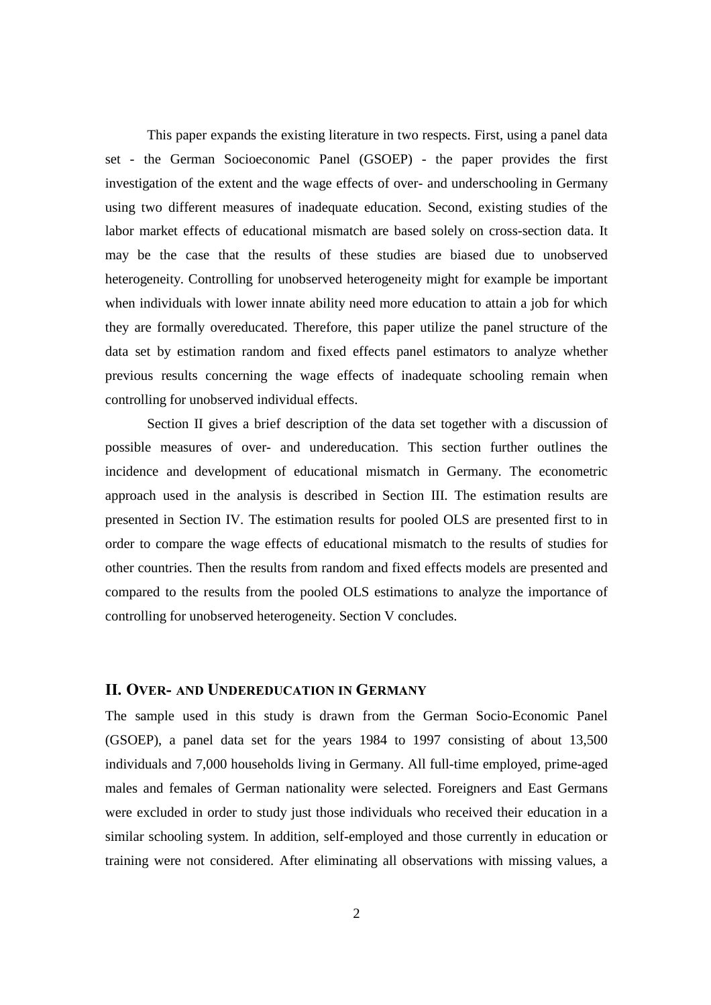This paper expands the existing literature in two respects. First, using a panel data set - the German Socioeconomic Panel (GSOEP) - the paper provides the first investigation of the extent and the wage effects of over- and underschooling in Germany using two different measures of inadequate education. Second, existing studies of the labor market effects of educational mismatch are based solely on cross-section data. It may be the case that the results of these studies are biased due to unobserved heterogeneity. Controlling for unobserved heterogeneity might for example be important when individuals with lower innate ability need more education to attain a job for which they are formally overeducated. Therefore, this paper utilize the panel structure of the data set by estimation random and fixed effects panel estimators to analyze whether previous results concerning the wage effects of inadequate schooling remain when controlling for unobserved individual effects.

Section II gives a brief description of the data set together with a discussion of possible measures of over- and undereducation. This section further outlines the incidence and development of educational mismatch in Germany. The econometric approach used in the analysis is described in Section III. The estimation results are presented in Section IV. The estimation results for pooled OLS are presented first to in order to compare the wage effects of educational mismatch to the results of studies for other countries. Then the results from random and fixed effects models are presented and compared to the results from the pooled OLS estimations to analyze the importance of controlling for unobserved heterogeneity. Section V concludes.

#### **II. OVER- AND UNDEREDUCATION IN GERMANY**

The sample used in this study is drawn from the German Socio-Economic Panel (GSOEP), a panel data set for the years 1984 to 1997 consisting of about 13,500 individuals and 7,000 households living in Germany. All full-time employed, prime-aged males and females of German nationality were selected. Foreigners and East Germans were excluded in order to study just those individuals who received their education in a similar schooling system. In addition, self-employed and those currently in education or training were not considered. After eliminating all observations with missing values, a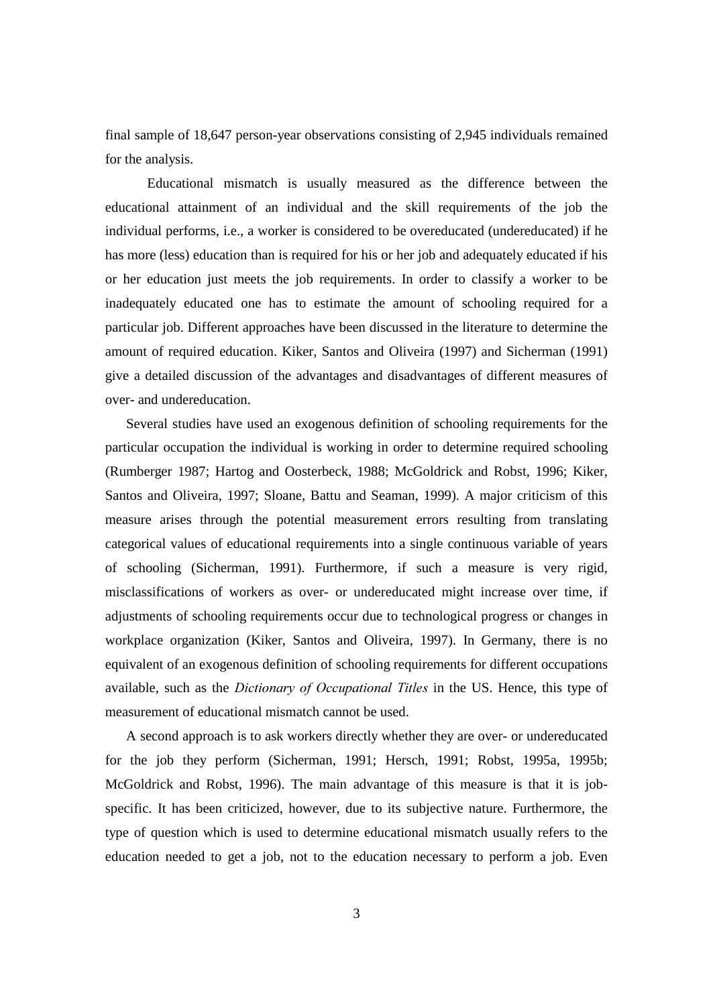final sample of 18,647 person-year observations consisting of 2,945 individuals remained for the analysis.

Educational mismatch is usually measured as the difference between the educational attainment of an individual and the skill requirements of the job the individual performs, i.e., a worker is considered to be overeducated (undereducated) if he has more (less) education than is required for his or her job and adequately educated if his or her education just meets the job requirements. In order to classify a worker to be inadequately educated one has to estimate the amount of schooling required for a particular job. Different approaches have been discussed in the literature to determine the amount of required education. Kiker, Santos and Oliveira (1997) and Sicherman (1991) give a detailed discussion of the advantages and disadvantages of different measures of over- and undereducation.

 Several studies have used an exogenous definition of schooling requirements for the particular occupation the individual is working in order to determine required schooling (Rumberger 1987; Hartog and Oosterbeck, 1988; McGoldrick and Robst, 1996; Kiker, Santos and Oliveira, 1997; Sloane, Battu and Seaman, 1999). A major criticism of this measure arises through the potential measurement errors resulting from translating categorical values of educational requirements into a single continuous variable of years of schooling (Sicherman, 1991). Furthermore, if such a measure is very rigid, misclassifications of workers as over- or undereducated might increase over time, if adjustments of schooling requirements occur due to technological progress or changes in workplace organization (Kiker, Santos and Oliveira, 1997). In Germany, there is no equivalent of an exogenous definition of schooling requirements for different occupations available, such as the *Dictionary of Occupational Titles* in the US. Hence, this type of measurement of educational mismatch cannot be used.

 A second approach is to ask workers directly whether they are over- or undereducated for the job they perform (Sicherman, 1991; Hersch, 1991; Robst, 1995a, 1995b; McGoldrick and Robst, 1996). The main advantage of this measure is that it is jobspecific. It has been criticized, however, due to its subjective nature. Furthermore, the type of question which is used to determine educational mismatch usually refers to the education needed to get a job, not to the education necessary to perform a job. Even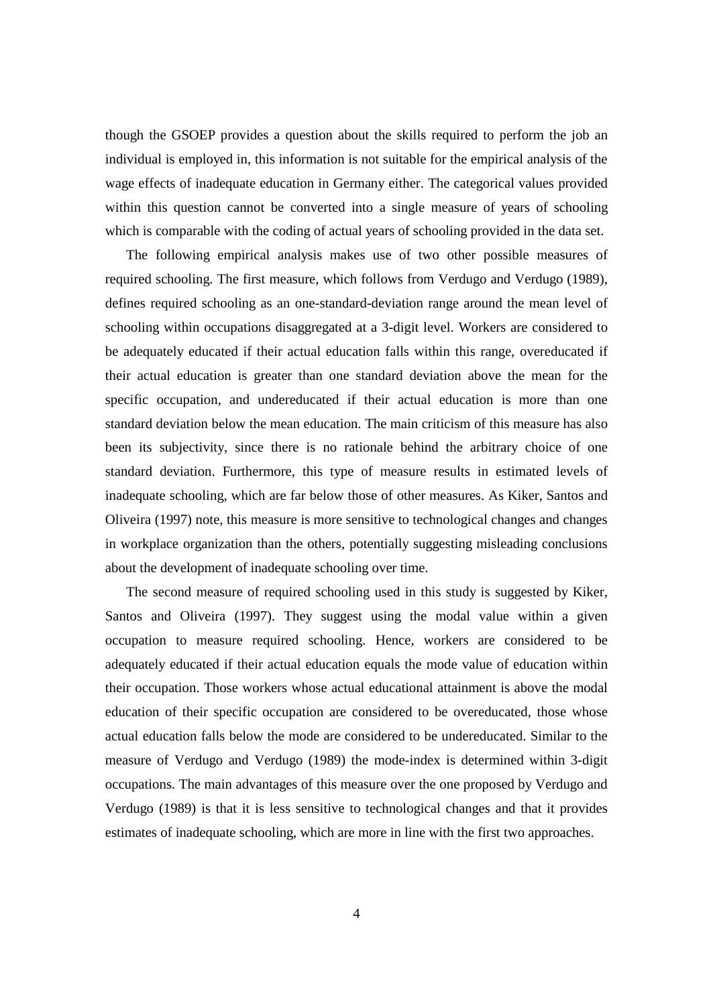though the GSOEP provides a question about the skills required to perform the job an individual is employed in, this information is not suitable for the empirical analysis of the wage effects of inadequate education in Germany either. The categorical values provided within this question cannot be converted into a single measure of years of schooling which is comparable with the coding of actual years of schooling provided in the data set.

 The following empirical analysis makes use of two other possible measures of required schooling. The first measure, which follows from Verdugo and Verdugo (1989), defines required schooling as an one-standard-deviation range around the mean level of schooling within occupations disaggregated at a 3-digit level. Workers are considered to be adequately educated if their actual education falls within this range, overeducated if their actual education is greater than one standard deviation above the mean for the specific occupation, and undereducated if their actual education is more than one standard deviation below the mean education. The main criticism of this measure has also been its subjectivity, since there is no rationale behind the arbitrary choice of one standard deviation. Furthermore, this type of measure results in estimated levels of inadequate schooling, which are far below those of other measures. As Kiker, Santos and Oliveira (1997) note, this measure is more sensitive to technological changes and changes in workplace organization than the others, potentially suggesting misleading conclusions about the development of inadequate schooling over time.

 The second measure of required schooling used in this study is suggested by Kiker, Santos and Oliveira (1997). They suggest using the modal value within a given occupation to measure required schooling. Hence, workers are considered to be adequately educated if their actual education equals the mode value of education within their occupation. Those workers whose actual educational attainment is above the modal education of their specific occupation are considered to be overeducated, those whose actual education falls below the mode are considered to be undereducated. Similar to the measure of Verdugo and Verdugo (1989) the mode-index is determined within 3-digit occupations. The main advantages of this measure over the one proposed by Verdugo and Verdugo (1989) is that it is less sensitive to technological changes and that it provides estimates of inadequate schooling, which are more in line with the first two approaches.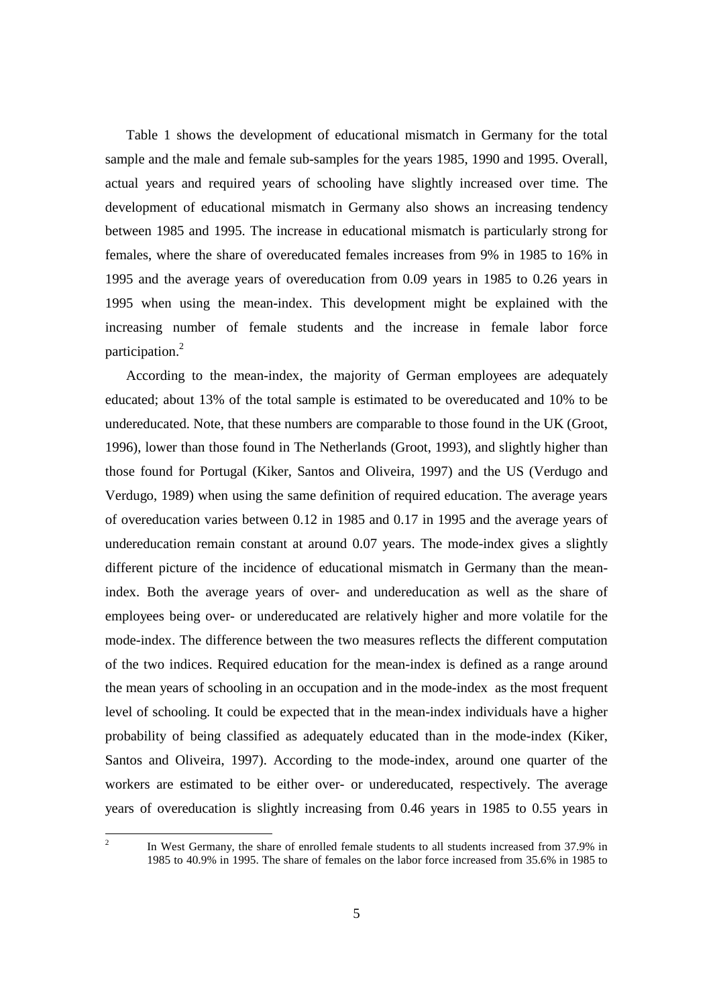Table 1 shows the development of educational mismatch in Germany for the total sample and the male and female sub-samples for the years 1985, 1990 and 1995. Overall, actual years and required years of schooling have slightly increased over time. The development of educational mismatch in Germany also shows an increasing tendency between 1985 and 1995. The increase in educational mismatch is particularly strong for females, where the share of overeducated females increases from 9% in 1985 to 16% in 1995 and the average years of overeducation from 0.09 years in 1985 to 0.26 years in 1995 when using the mean-index. This development might be explained with the increasing number of female students and the increase in female labor force participation.2

 According to the mean-index, the majority of German employees are adequately educated; about 13% of the total sample is estimated to be overeducated and 10% to be undereducated. Note, that these numbers are comparable to those found in the UK (Groot, 1996), lower than those found in The Netherlands (Groot, 1993), and slightly higher than those found for Portugal (Kiker, Santos and Oliveira, 1997) and the US (Verdugo and Verdugo, 1989) when using the same definition of required education. The average years of overeducation varies between 0.12 in 1985 and 0.17 in 1995 and the average years of undereducation remain constant at around 0.07 years. The mode-index gives a slightly different picture of the incidence of educational mismatch in Germany than the meanindex. Both the average years of over- and undereducation as well as the share of employees being over- or undereducated are relatively higher and more volatile for the mode-index. The difference between the two measures reflects the different computation of the two indices. Required education for the mean-index is defined as a range around the mean years of schooling in an occupation and in the mode-index as the most frequent level of schooling. It could be expected that in the mean-index individuals have a higher probability of being classified as adequately educated than in the mode-index (Kiker, Santos and Oliveira, 1997). According to the mode-index, around one quarter of the workers are estimated to be either over- or undereducated, respectively. The average years of overeducation is slightly increasing from 0.46 years in 1985 to 0.55 years in

 $\frac{1}{2}$  In West Germany, the share of enrolled female students to all students increased from 37.9% in 1985 to 40.9% in 1995. The share of females on the labor force increased from 35.6% in 1985 to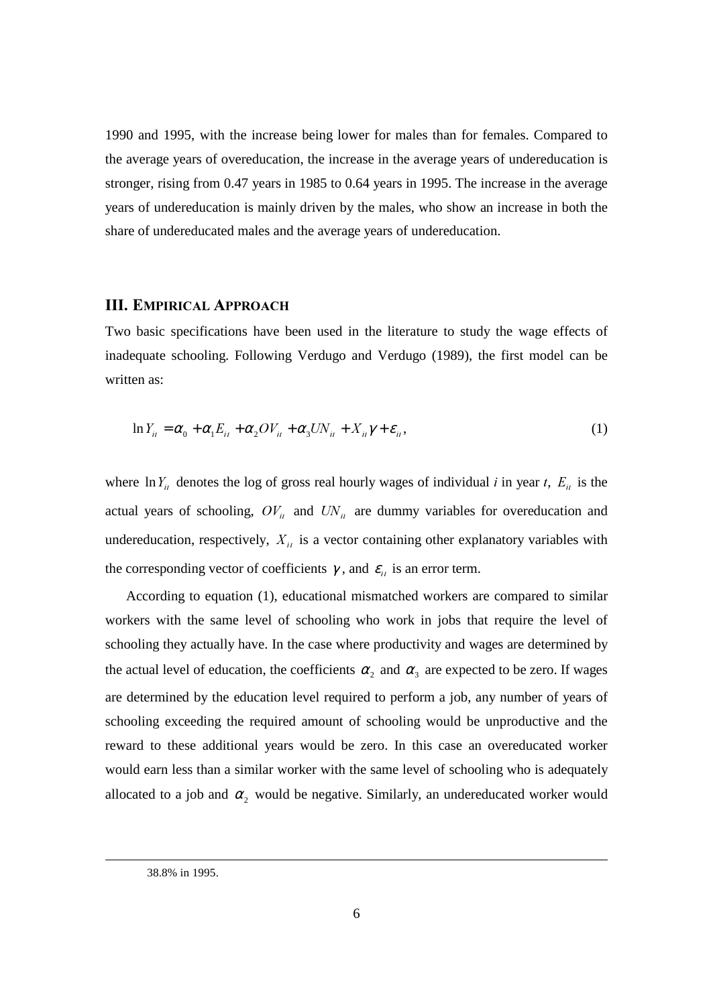1990 and 1995, with the increase being lower for males than for females. Compared to the average years of overeducation, the increase in the average years of undereducation is stronger, rising from 0.47 years in 1985 to 0.64 years in 1995. The increase in the average years of undereducation is mainly driven by the males, who show an increase in both the share of undereducated males and the average years of undereducation.

#### **III. EMPIRICAL APPROACH**

Two basic specifications have been used in the literature to study the wage effects of inadequate schooling. Following Verdugo and Verdugo (1989), the first model can be written as:

$$
\ln Y_{ii} = \alpha_0 + \alpha_1 E_{ii} + \alpha_2 O V_{ii} + \alpha_3 U N_{ii} + X_{ii} \gamma + \varepsilon_{ii},
$$
\n(1)

where  $\ln Y_{ii}$  denotes the log of gross real hourly wages of individual *i* in year *t*,  $E_{ii}$  is the actual years of schooling,  $OV_{ii}$  and  $UN_{ii}$  are dummy variables for overeducation and undereducation, respectively,  $X_{ii}$  is a vector containing other explanatory variables with the corresponding vector of coefficients  $\gamma$ , and  $\varepsilon_{ij}$  is an error term.

 According to equation (1), educational mismatched workers are compared to similar workers with the same level of schooling who work in jobs that require the level of schooling they actually have. In the case where productivity and wages are determined by the actual level of education, the coefficients  $\alpha_2$  and  $\alpha_3$  are expected to be zero. If wages are determined by the education level required to perform a job, any number of years of schooling exceeding the required amount of schooling would be unproductive and the reward to these additional years would be zero. In this case an overeducated worker would earn less than a similar worker with the same level of schooling who is adequately allocated to a job and  $\alpha_2$  would be negative. Similarly, an undereducated worker would

 <sup>38.8%</sup> in 1995.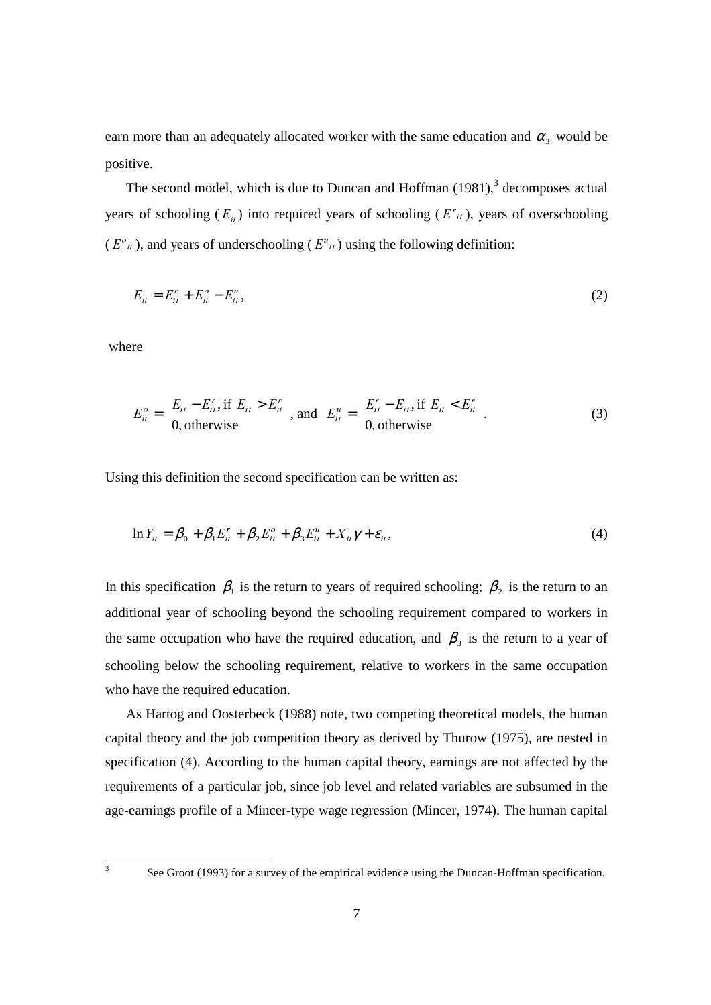earn more than an adequately allocated worker with the same education and  $\alpha_3$  would be positive.

The second model, which is due to Duncan and Hoffman  $(1981)$ , decomposes actual years of schooling  $(E_{ij})$  into required years of schooling  $(E_{ij})$ , years of overschooling  $(E^{\circ}_{ii})$ , and years of underschooling  $(E^{\iota}_{ii})$  using the following definition:

$$
E_{ii} = E_{ii}^r + E_{ii}^o - E_{ii}^u,
$$
 (2)

where

$$
E_{ii}^o = \begin{cases} E_{ii} - E_{ii}^r, \text{if } E_{ii} > E_{ii}^r \\ 0, \text{otherwise} \end{cases}, \text{ and } E_{ii}^u = \begin{cases} E_{ii}^r - E_{ii}, \text{if } E_{ii} < E_{ii}^r \\ 0, \text{otherwise} \end{cases}.
$$
 (3)

Using this definition the second specification can be written as:

$$
\ln Y_{ii} = \beta_0 + \beta_1 E_{ii}^r + \beta_2 E_{ii}^o + \beta_3 E_{ii}^u + X_{ii} \gamma + \varepsilon_{ii},
$$
\n(4)

In this specification  $\beta_1$  is the return to years of required schooling;  $\beta_2$  is the return to an additional year of schooling beyond the schooling requirement compared to workers in the same occupation who have the required education, and  $\beta_3$  is the return to a year of schooling below the schooling requirement, relative to workers in the same occupation who have the required education.

 As Hartog and Oosterbeck (1988) note, two competing theoretical models, the human capital theory and the job competition theory as derived by Thurow (1975), are nested in specification (4). According to the human capital theory, earnings are not affected by the requirements of a particular job, since job level and related variables are subsumed in the age-earnings profile of a Mincer-type wage regression (Mincer, 1974). The human capital

 $\frac{1}{3}$ 

See Groot (1993) for a survey of the empirical evidence using the Duncan-Hoffman specification.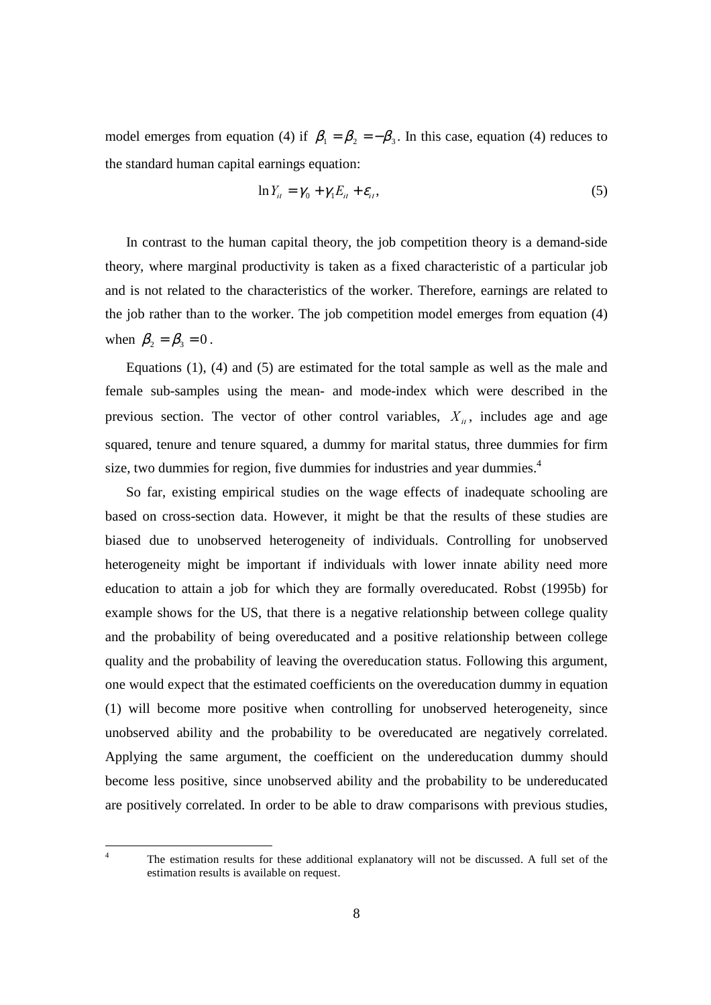model emerges from equation (4) if  $\beta_1 = \beta_2 = -\beta_3$ . In this case, equation (4) reduces to the standard human capital earnings equation:

$$
\ln Y_{ii} = \gamma_0 + \gamma_1 E_{ii} + \varepsilon_{ii}, \qquad (5)
$$

 In contrast to the human capital theory, the job competition theory is a demand-side theory, where marginal productivity is taken as a fixed characteristic of a particular job and is not related to the characteristics of the worker. Therefore, earnings are related to the job rather than to the worker. The job competition model emerges from equation (4) when  $\beta_2 = \beta_3 = 0$ .

 Equations (1), (4) and (5) are estimated for the total sample as well as the male and female sub-samples using the mean- and mode-index which were described in the previous section. The vector of other control variables,  $X_{ii}$ , includes age and age squared, tenure and tenure squared, a dummy for marital status, three dummies for firm size, two dummies for region, five dummies for industries and year dummies. $4$ 

 So far, existing empirical studies on the wage effects of inadequate schooling are based on cross-section data. However, it might be that the results of these studies are biased due to unobserved heterogeneity of individuals. Controlling for unobserved heterogeneity might be important if individuals with lower innate ability need more education to attain a job for which they are formally overeducated. Robst (1995b) for example shows for the US, that there is a negative relationship between college quality and the probability of being overeducated and a positive relationship between college quality and the probability of leaving the overeducation status. Following this argument, one would expect that the estimated coefficients on the overeducation dummy in equation (1) will become more positive when controlling for unobserved heterogeneity, since unobserved ability and the probability to be overeducated are negatively correlated. Applying the same argument, the coefficient on the undereducation dummy should become less positive, since unobserved ability and the probability to be undereducated are positively correlated. In order to be able to draw comparisons with previous studies,

 The estimation results for these additional explanatory will not be discussed. A full set of the estimation results is available on request.

 $\frac{1}{4}$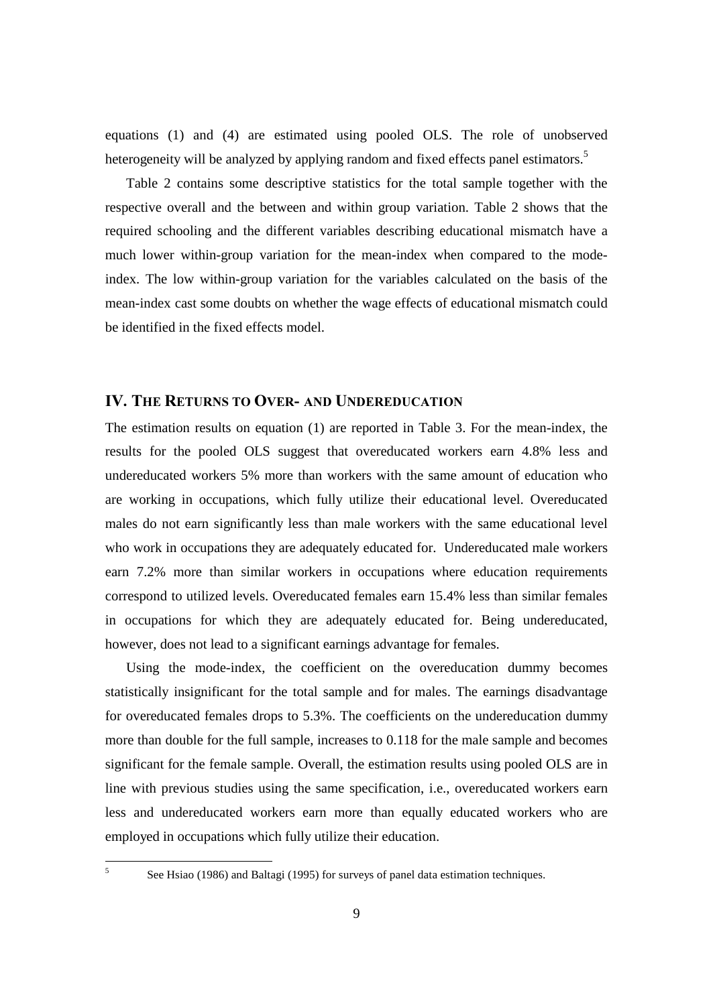equations (1) and (4) are estimated using pooled OLS. The role of unobserved heterogeneity will be analyzed by applying random and fixed effects panel estimators.<sup>5</sup>

 Table 2 contains some descriptive statistics for the total sample together with the respective overall and the between and within group variation. Table 2 shows that the required schooling and the different variables describing educational mismatch have a much lower within-group variation for the mean-index when compared to the modeindex. The low within-group variation for the variables calculated on the basis of the mean-index cast some doubts on whether the wage effects of educational mismatch could be identified in the fixed effects model.

#### IV. THE RETURNS TO OVER- AND UNDEREDUCATION

The estimation results on equation (1) are reported in Table 3. For the mean-index, the results for the pooled OLS suggest that overeducated workers earn 4.8% less and undereducated workers 5% more than workers with the same amount of education who are working in occupations, which fully utilize their educational level. Overeducated males do not earn significantly less than male workers with the same educational level who work in occupations they are adequately educated for. Undereducated male workers earn 7.2% more than similar workers in occupations where education requirements correspond to utilized levels. Overeducated females earn 15.4% less than similar females in occupations for which they are adequately educated for. Being undereducated, however, does not lead to a significant earnings advantage for females.

 Using the mode-index, the coefficient on the overeducation dummy becomes statistically insignificant for the total sample and for males. The earnings disadvantage for overeducated females drops to 5.3%. The coefficients on the undereducation dummy more than double for the full sample, increases to 0.118 for the male sample and becomes significant for the female sample. Overall, the estimation results using pooled OLS are in line with previous studies using the same specification, i.e., overeducated workers earn less and undereducated workers earn more than equally educated workers who are employed in occupations which fully utilize their education.

 $\frac{1}{5}$ 

See Hsiao (1986) and Baltagi (1995) for surveys of panel data estimation techniques.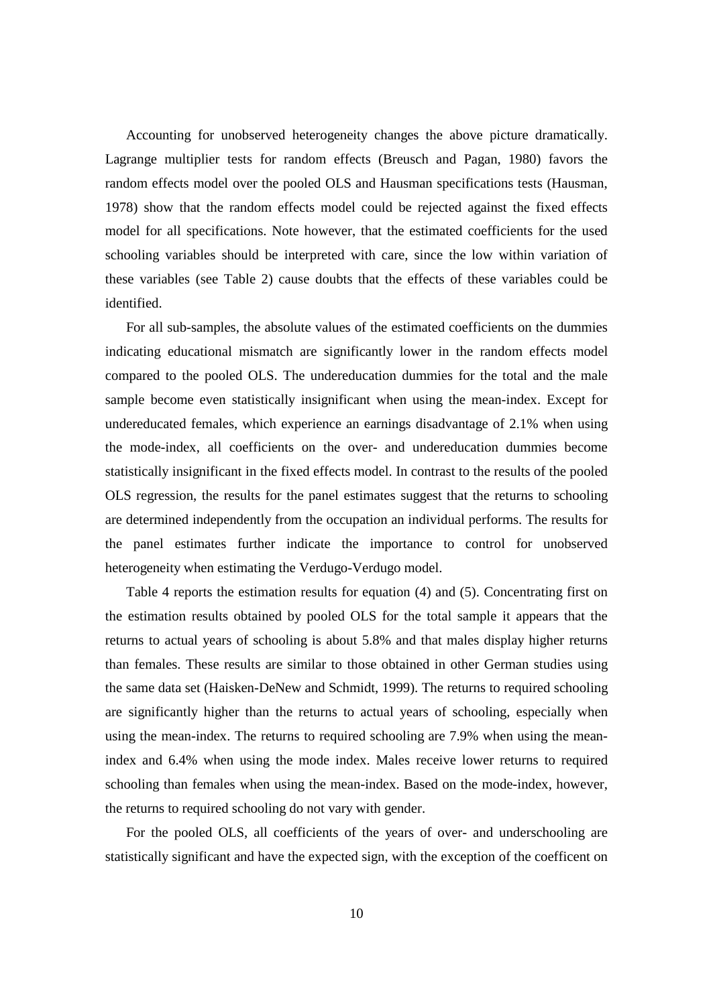Accounting for unobserved heterogeneity changes the above picture dramatically. Lagrange multiplier tests for random effects (Breusch and Pagan, 1980) favors the random effects model over the pooled OLS and Hausman specifications tests (Hausman, 1978) show that the random effects model could be rejected against the fixed effects model for all specifications. Note however, that the estimated coefficients for the used schooling variables should be interpreted with care, since the low within variation of these variables (see Table 2) cause doubts that the effects of these variables could be identified.

 For all sub-samples, the absolute values of the estimated coefficients on the dummies indicating educational mismatch are significantly lower in the random effects model compared to the pooled OLS. The undereducation dummies for the total and the male sample become even statistically insignificant when using the mean-index. Except for undereducated females, which experience an earnings disadvantage of 2.1% when using the mode-index, all coefficients on the over- and undereducation dummies become statistically insignificant in the fixed effects model. In contrast to the results of the pooled OLS regression, the results for the panel estimates suggest that the returns to schooling are determined independently from the occupation an individual performs. The results for the panel estimates further indicate the importance to control for unobserved heterogeneity when estimating the Verdugo-Verdugo model.

 Table 4 reports the estimation results for equation (4) and (5). Concentrating first on the estimation results obtained by pooled OLS for the total sample it appears that the returns to actual years of schooling is about 5.8% and that males display higher returns than females. These results are similar to those obtained in other German studies using the same data set (Haisken-DeNew and Schmidt, 1999). The returns to required schooling are significantly higher than the returns to actual years of schooling, especially when using the mean-index. The returns to required schooling are 7.9% when using the meanindex and 6.4% when using the mode index. Males receive lower returns to required schooling than females when using the mean-index. Based on the mode-index, however, the returns to required schooling do not vary with gender.

 For the pooled OLS, all coefficients of the years of over- and underschooling are statistically significant and have the expected sign, with the exception of the coefficent on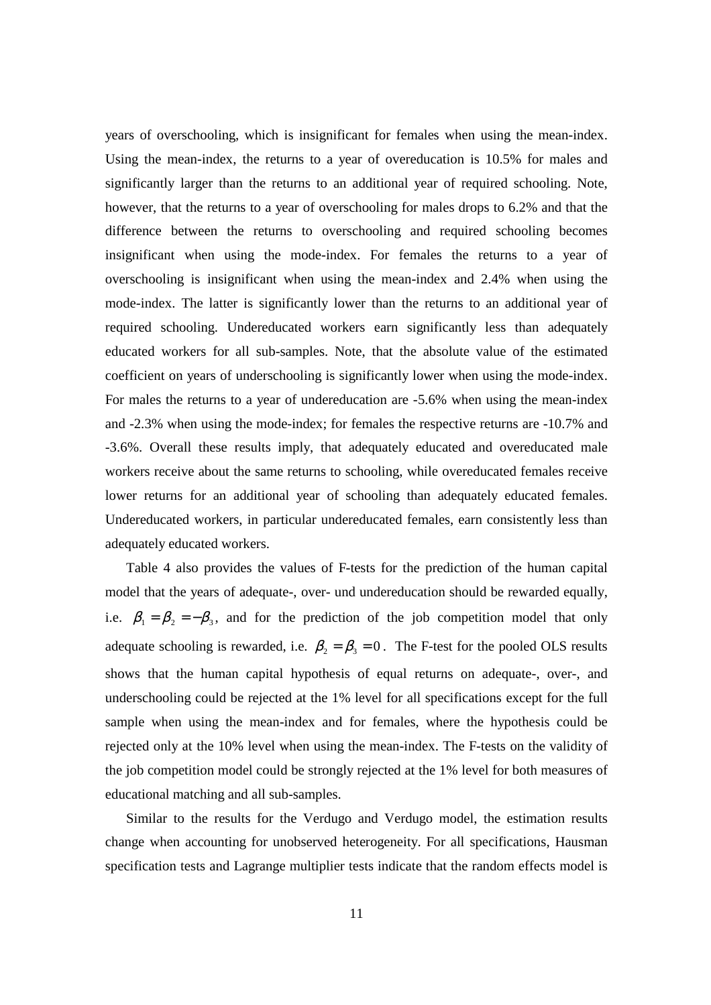years of overschooling, which is insignificant for females when using the mean-index. Using the mean-index, the returns to a year of overeducation is 10.5% for males and significantly larger than the returns to an additional year of required schooling. Note, however, that the returns to a year of overschooling for males drops to 6.2% and that the difference between the returns to overschooling and required schooling becomes insignificant when using the mode-index. For females the returns to a year of overschooling is insignificant when using the mean-index and 2.4% when using the mode-index. The latter is significantly lower than the returns to an additional year of required schooling. Undereducated workers earn significantly less than adequately educated workers for all sub-samples. Note, that the absolute value of the estimated coefficient on years of underschooling is significantly lower when using the mode-index. For males the returns to a year of undereducation are -5.6% when using the mean-index and -2.3% when using the mode-index; for females the respective returns are -10.7% and -3.6%. Overall these results imply, that adequately educated and overeducated male workers receive about the same returns to schooling, while overeducated females receive lower returns for an additional year of schooling than adequately educated females. Undereducated workers, in particular undereducated females, earn consistently less than adequately educated workers.

 Table 4 also provides the values of F-tests for the prediction of the human capital model that the years of adequate-, over- und undereducation should be rewarded equally, i.e.  $\beta_1 = \beta_2 = -\beta_3$ , and for the prediction of the job competition model that only adequate schooling is rewarded, i.e.  $\beta_2 = \beta_3 = 0$ . The F-test for the pooled OLS results shows that the human capital hypothesis of equal returns on adequate-, over-, and underschooling could be rejected at the 1% level for all specifications except for the full sample when using the mean-index and for females, where the hypothesis could be rejected only at the 10% level when using the mean-index. The F-tests on the validity of the job competition model could be strongly rejected at the 1% level for both measures of educational matching and all sub-samples.

Similar to the results for the Verdugo and Verdugo model, the estimation results change when accounting for unobserved heterogeneity. For all specifications, Hausman specification tests and Lagrange multiplier tests indicate that the random effects model is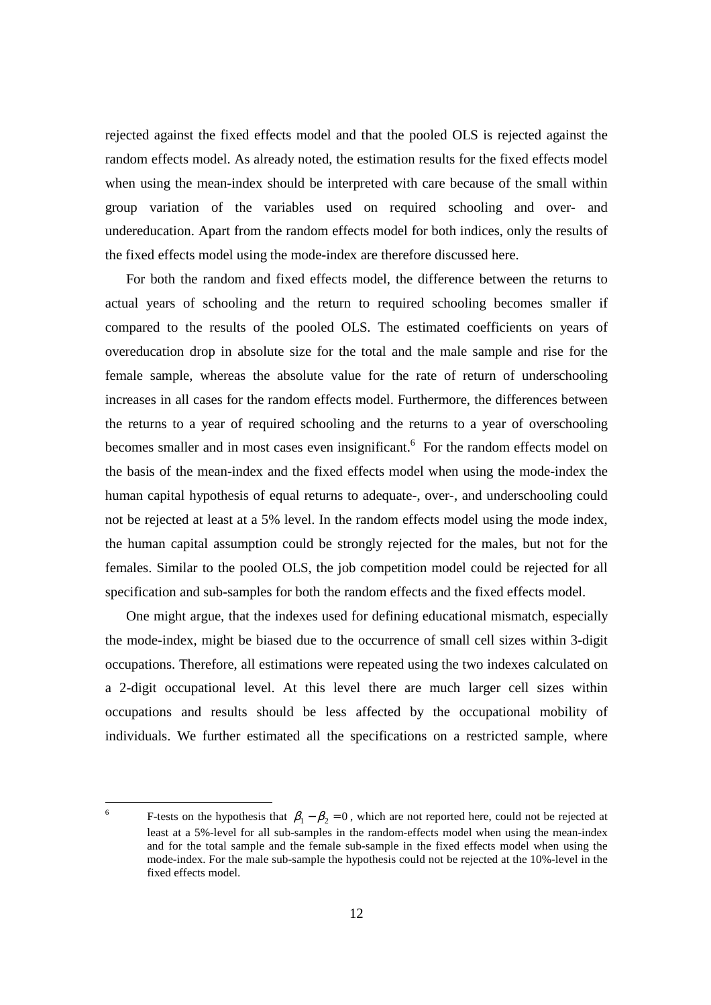rejected against the fixed effects model and that the pooled OLS is rejected against the random effects model. As already noted, the estimation results for the fixed effects model when using the mean-index should be interpreted with care because of the small within group variation of the variables used on required schooling and over- and undereducation. Apart from the random effects model for both indices, only the results of the fixed effects model using the mode-index are therefore discussed here.

 For both the random and fixed effects model, the difference between the returns to actual years of schooling and the return to required schooling becomes smaller if compared to the results of the pooled OLS. The estimated coefficients on years of overeducation drop in absolute size for the total and the male sample and rise for the female sample, whereas the absolute value for the rate of return of underschooling increases in all cases for the random effects model. Furthermore, the differences between the returns to a year of required schooling and the returns to a year of overschooling becomes smaller and in most cases even insignificant. <sup>6</sup> For the random effects model on the basis of the mean-index and the fixed effects model when using the mode-index the human capital hypothesis of equal returns to adequate-, over-, and underschooling could not be rejected at least at a 5% level. In the random effects model using the mode index, the human capital assumption could be strongly rejected for the males, but not for the females. Similar to the pooled OLS, the job competition model could be rejected for all specification and sub-samples for both the random effects and the fixed effects model.

 One might argue, that the indexes used for defining educational mismatch, especially the mode-index, might be biased due to the occurrence of small cell sizes within 3-digit occupations. Therefore, all estimations were repeated using the two indexes calculated on a 2-digit occupational level. At this level there are much larger cell sizes within occupations and results should be less affected by the occupational mobility of individuals. We further estimated all the specifications on a restricted sample, where

-

<sup>6</sup> F-tests on the hypothesis that  $\beta_1 - \beta_2 = 0$ , which are not reported here, could not be rejected at least at a 5%-level for all sub-samples in the random-effects model when using the mean-index and for the total sample and the female sub-sample in the fixed effects model when using the mode-index. For the male sub-sample the hypothesis could not be rejected at the 10%-level in the fixed effects model.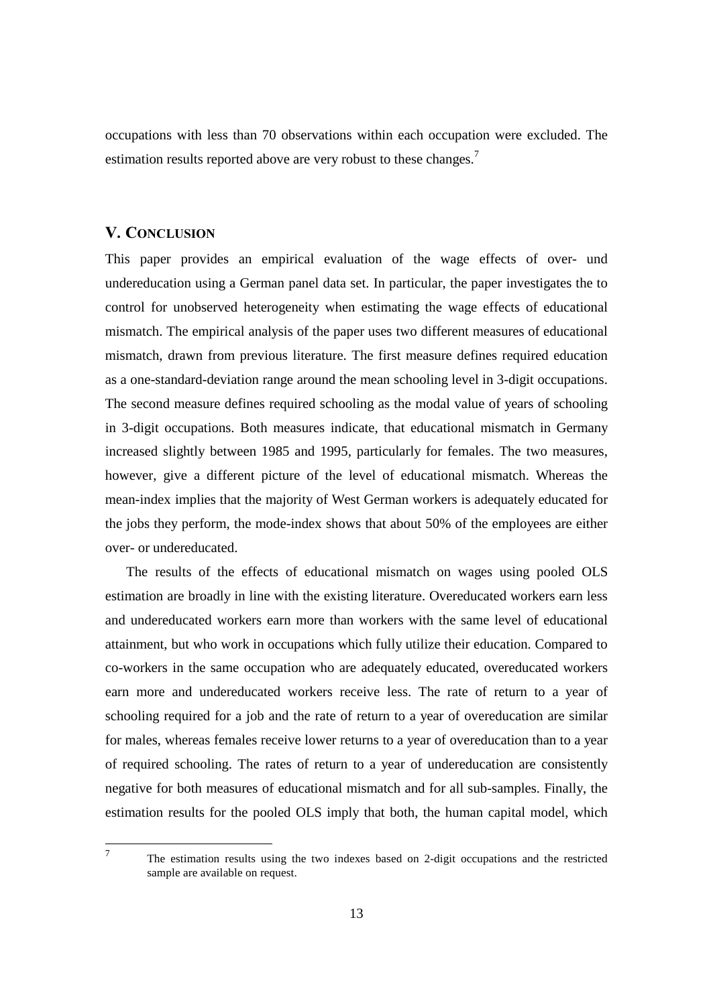occupations with less than 70 observations within each occupation were excluded. The estimation results reported above are very robust to these changes.<sup>7</sup>

#### V. CONCLUSION

 $\frac{1}{7}$ 

This paper provides an empirical evaluation of the wage effects of over- und undereducation using a German panel data set. In particular, the paper investigates the to control for unobserved heterogeneity when estimating the wage effects of educational mismatch. The empirical analysis of the paper uses two different measures of educational mismatch, drawn from previous literature. The first measure defines required education as a one-standard-deviation range around the mean schooling level in 3-digit occupations. The second measure defines required schooling as the modal value of years of schooling in 3-digit occupations. Both measures indicate, that educational mismatch in Germany increased slightly between 1985 and 1995, particularly for females. The two measures, however, give a different picture of the level of educational mismatch. Whereas the mean-index implies that the majority of West German workers is adequately educated for the jobs they perform, the mode-index shows that about 50% of the employees are either over- or undereducated.

 The results of the effects of educational mismatch on wages using pooled OLS estimation are broadly in line with the existing literature. Overeducated workers earn less and undereducated workers earn more than workers with the same level of educational attainment, but who work in occupations which fully utilize their education. Compared to co-workers in the same occupation who are adequately educated, overeducated workers earn more and undereducated workers receive less. The rate of return to a year of schooling required for a job and the rate of return to a year of overeducation are similar for males, whereas females receive lower returns to a year of overeducation than to a year of required schooling. The rates of return to a year of undereducation are consistently negative for both measures of educational mismatch and for all sub-samples. Finally, the estimation results for the pooled OLS imply that both, the human capital model, which

 The estimation results using the two indexes based on 2-digit occupations and the restricted sample are available on request.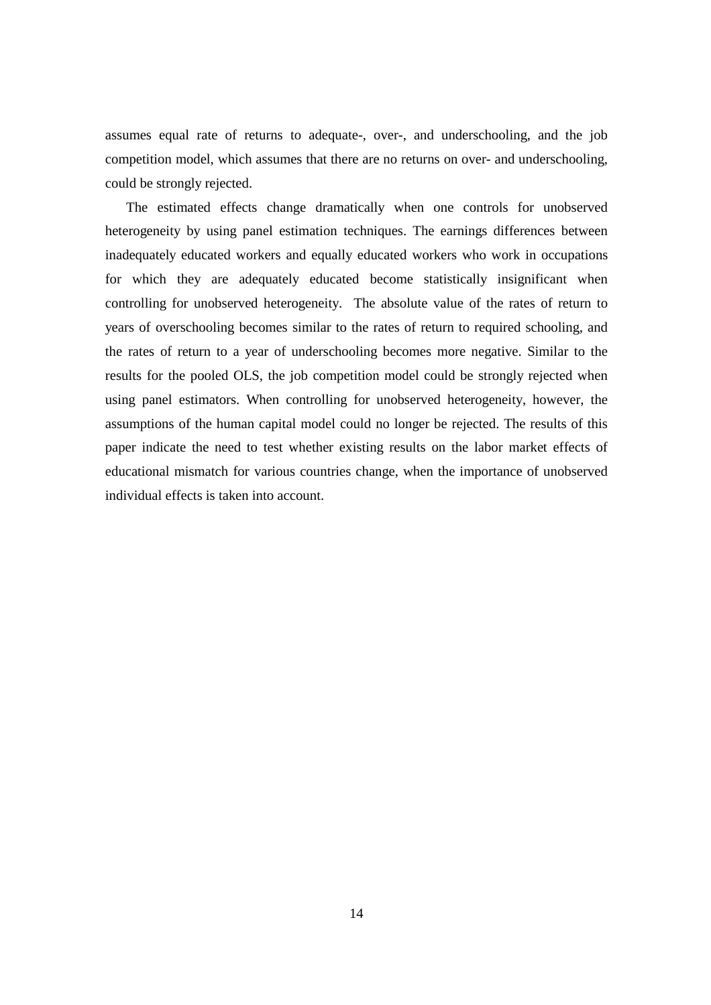assumes equal rate of returns to adequate-, over-, and underschooling, and the job competition model, which assumes that there are no returns on over- and underschooling, could be strongly rejected.

 The estimated effects change dramatically when one controls for unobserved heterogeneity by using panel estimation techniques. The earnings differences between inadequately educated workers and equally educated workers who work in occupations for which they are adequately educated become statistically insignificant when controlling for unobserved heterogeneity. The absolute value of the rates of return to years of overschooling becomes similar to the rates of return to required schooling, and the rates of return to a year of underschooling becomes more negative. Similar to the results for the pooled OLS, the job competition model could be strongly rejected when using panel estimators. When controlling for unobserved heterogeneity, however, the assumptions of the human capital model could no longer be rejected. The results of this paper indicate the need to test whether existing results on the labor market effects of educational mismatch for various countries change, when the importance of unobserved individual effects is taken into account.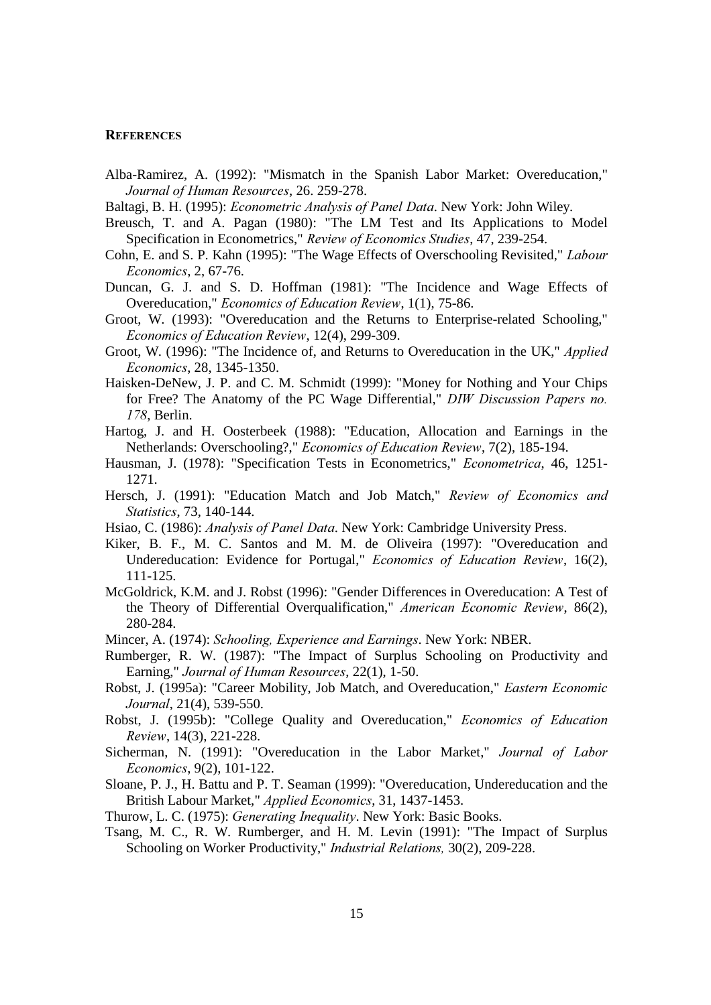#### **REFERENCES**

- Alba-Ramirez, A. (1992): "Mismatch in the Spanish Labor Market: Overeducation," Journal of Human Resources, 26. 259-278.
- Baltagi, B. H. (1995): *Econometric Analysis of Panel Data*. New York: John Wiley.
- Breusch, T. and A. Pagan (1980): "The LM Test and Its Applications to Model Specification in Econometrics," Review of Economics Studies, 47, 239-254.
- Cohn, E. and S. P. Kahn (1995): "The Wage Effects of Overschooling Revisited," Labour Economics, 2, 67-76.
- Duncan, G. J. and S. D. Hoffman (1981): "The Incidence and Wage Effects of Overeducation," Economics of Education Review, 1(1), 75-86.
- Groot, W. (1993): "Overeducation and the Returns to Enterprise-related Schooling," Economics of Education Review, 12(4), 299-309.
- Groot, W. (1996): "The Incidence of, and Returns to Overeducation in the UK," Applied Economics, 28, 1345-1350.
- Haisken-DeNew, J. P. and C. M. Schmidt (1999): "Money for Nothing and Your Chips for Free? The Anatomy of the PC Wage Differential," DIW Discussion Papers no. 178. Berlin.
- Hartog, J. and H. Oosterbeek (1988): "Education, Allocation and Earnings in the Netherlands: Overschooling?," Economics of Education Review, 7(2), 185-194.
- Hausman, J. (1978): "Specification Tests in Econometrics," Econometrica, 46, 1251-1271.
- Hersch, J. (1991): "Education Match and Job Match," Review of Economics and Statistics, 73, 140-144.
- Hsiao, C. (1986): Analysis of Panel Data. New York: Cambridge University Press.
- Kiker, B. F., M. C. Santos and M. M. de Oliveira (1997): "Overeducation and Undereducation: Evidence for Portugal," Economics of Education Review, 16(2), 111-125.
- McGoldrick, K.M. and J. Robst (1996): "Gender Differences in Overeducation: A Test of the Theory of Differential Overqualification," American Economic Review, 86(2), 280-284.
- Mincer, A. (1974): Schooling, Experience and Earnings. New York: NBER.
- Rumberger, R. W. (1987): "The Impact of Surplus Schooling on Productivity and Earning," Journal of Human Resources, 22(1), 1-50.
- Robst, J. (1995a): "Career Mobility, Job Match, and Overeducation," Eastern Economic Journal, 21(4), 539-550.
- Robst, J. (1995b): "College Quality and Overeducation," Economics of Education Review, 14(3), 221-228.
- Sicherman, N. (1991): "Overeducation in the Labor Market," Journal of Labor Economics, 9(2), 101-122.
- Sloane, P. J., H. Battu and P. T. Seaman (1999): "Overeducation, Undereducation and the British Labour Market," Applied Economics, 31, 1437-1453.

Thurow, L. C. (1975): Generating Inequality. New York: Basic Books.

Tsang, M. C., R. W. Rumberger, and H. M. Levin (1991): "The Impact of Surplus Schooling on Worker Productivity," Industrial Relations, 30(2), 209-228.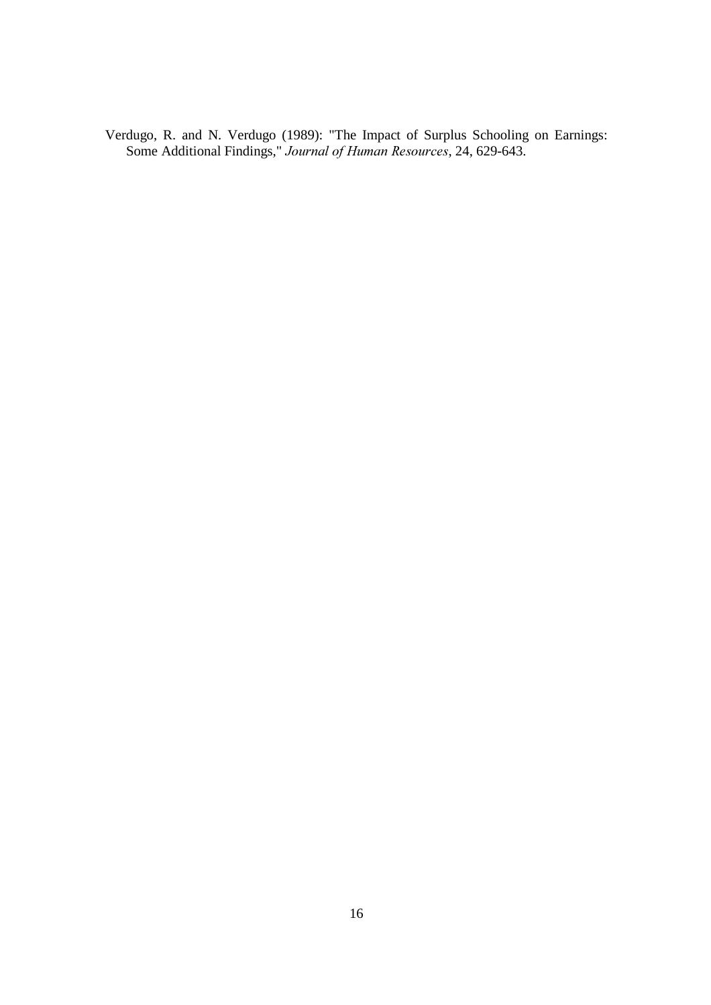Verdugo, R. and N. Verdugo (1989): "The Impact of Surplus Schooling on Earnings: Some Additional Findings," Journal of Human Resources, 24, 629-643.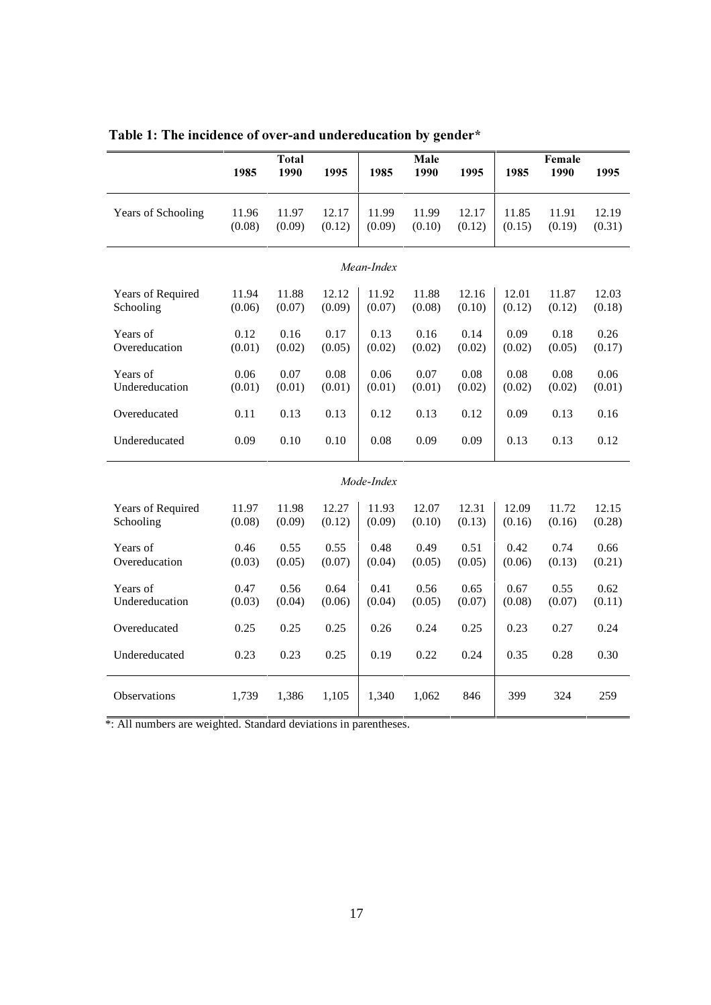|                           |                | <b>Total</b>   |                |                | Male           |                | Female         |                |                |  |  |  |  |
|---------------------------|----------------|----------------|----------------|----------------|----------------|----------------|----------------|----------------|----------------|--|--|--|--|
|                           | 1985           | 1990           | 1995           | 1985           | 1990           | 1995           | 1985           | 1990           | 1995           |  |  |  |  |
|                           |                |                |                |                |                |                |                |                |                |  |  |  |  |
| Years of Schooling        | 11.96          | 11.97          | 12.17          | 11.99          | 11.99          | 12.17          | 11.85          | 11.91          | 12.19          |  |  |  |  |
|                           | (0.08)         | (0.09)         | (0.12)         | (0.09)         | (0.10)         | (0.12)         | (0.15)         | (0.19)         | (0.31)         |  |  |  |  |
|                           |                |                |                |                |                |                |                |                |                |  |  |  |  |
| Mean-Index                |                |                |                |                |                |                |                |                |                |  |  |  |  |
| Years of Required         | 11.94          | 11.88          | 12.12          | 11.92          | 11.88          | 12.16          | 12.01          | 11.87          | 12.03          |  |  |  |  |
| Schooling                 | (0.06)         | (0.07)         | (0.09)         | (0.07)         | (0.08)         | (0.10)         | (0.12)         | (0.12)         | (0.18)         |  |  |  |  |
|                           |                |                |                |                |                |                |                |                |                |  |  |  |  |
| Years of<br>Overeducation | 0.12<br>(0.01) | 0.16<br>(0.02) | 0.17<br>(0.05) | 0.13<br>(0.02) | 0.16<br>(0.02) | 0.14<br>(0.02) | 0.09<br>(0.02) | 0.18<br>(0.05) | 0.26<br>(0.17) |  |  |  |  |
|                           |                |                |                |                |                |                |                |                |                |  |  |  |  |
| Years of                  | 0.06           | 0.07           | 0.08           | 0.06           | 0.07           | 0.08           | 0.08           | 0.08           | 0.06           |  |  |  |  |
| Undereducation            | (0.01)         | (0.01)         | (0.01)         | (0.01)         | (0.01)         | (0.02)         | (0.02)         | (0.02)         | (0.01)         |  |  |  |  |
| Overeducated              | 0.11           | 0.13           | 0.13           | 0.12           | 0.13           | 0.12           | 0.09           | 0.13           | 0.16           |  |  |  |  |
| Undereducated             | 0.09           | 0.10           | 0.10           | 0.08           | 0.09<br>0.09   |                | 0.13           | 0.13           | 0.12           |  |  |  |  |
|                           |                |                |                |                |                |                |                |                |                |  |  |  |  |
|                           |                |                |                | Mode-Index     |                |                |                |                |                |  |  |  |  |
| Years of Required         | 11.97          | 11.98          | 12.27          | 11.93          | 12.07          | 12.31          | 12.09          | 11.72          | 12.15          |  |  |  |  |
| Schooling                 | (0.08)         | (0.09)         | (0.12)         | (0.09)         | (0.10)         | (0.13)         | (0.16)         | (0.16)         | (0.28)         |  |  |  |  |
| Years of                  | 0.46           | 0.55           | 0.55           | 0.48           | 0.49           | 0.51           | 0.42           | 0.74           | 0.66           |  |  |  |  |
| Overeducation             | (0.03)         | (0.05)         | (0.07)         | (0.04)         | (0.05)         | (0.05)         | (0.06)         | (0.13)         | (0.21)         |  |  |  |  |
|                           |                |                |                |                |                |                |                |                |                |  |  |  |  |
| Years of                  | 0.47           | 0.56           | 0.64           | 0.41           | 0.56           | 0.65           | 0.67           | 0.55           | 0.62           |  |  |  |  |
| Undereducation            | (0.03)         | (0.04)         | (0.06)         | (0.04)         | (0.05)         | (0.07)         | (0.08)         | (0.07)         | (0.11)         |  |  |  |  |
| Overeducated              | 0.25           | 0.25           | 0.25           | 0.26           | 0.24           | 0.25           | 0.23           | 0.27           | 0.24           |  |  |  |  |
| Undereducated             | 0.23           | 0.23           | 0.25           | 0.19           | 0.22           | 0.24           | 0.35           | 0.28           | 0.30           |  |  |  |  |
|                           |                |                |                |                |                |                |                |                |                |  |  |  |  |
| Observations              | 1,739          | 1,386          | 1,105          | 1,340          | 1,062          | 846            | 399            | 324            | 259            |  |  |  |  |
|                           |                |                |                |                |                |                |                |                |                |  |  |  |  |

Table 1: The incidence of over-and undereducation by gender\*

\*: All numbers are weighted. Standard deviations in parentheses.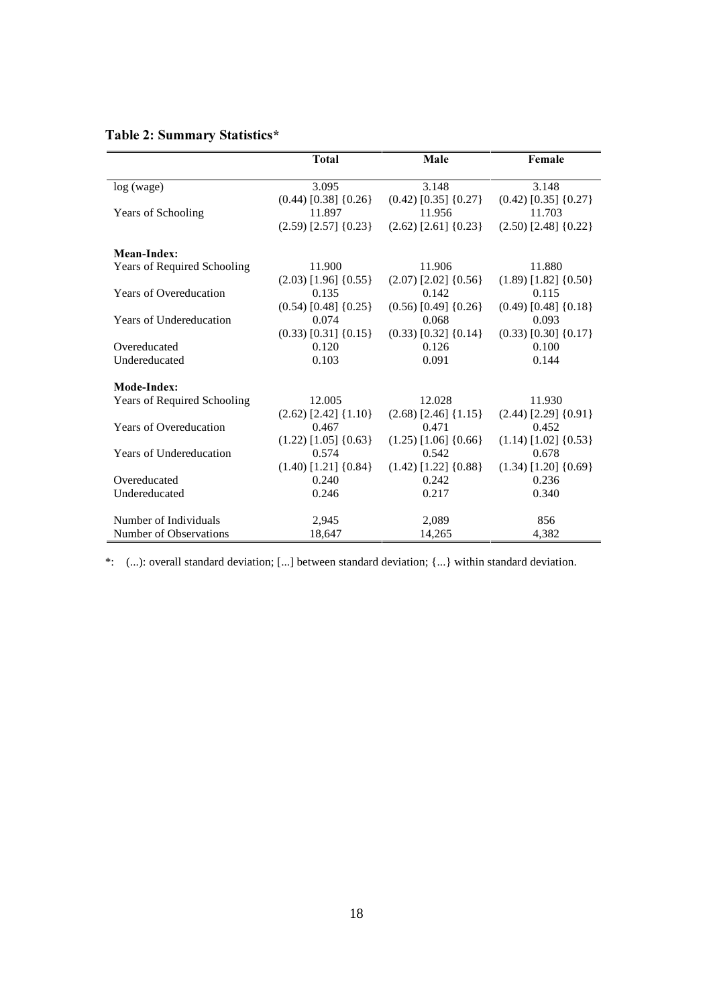#### Table 2: Summary Statistics\*

|                                | <b>Total</b>               | Male                       | Female                     |
|--------------------------------|----------------------------|----------------------------|----------------------------|
| log (wage)                     | 3.095                      | 3.148                      | 3.148                      |
|                                | $(0.44)$ [0.38] $\{0.26\}$ | $(0.42)$ [0.35] $\{0.27\}$ | $(0.42)$ [0.35] {0.27}     |
| Years of Schooling             | 11.897                     | 11.956                     | 11.703                     |
|                                | $(2.59)$ [2.57] $\{0.23\}$ | $(2.62)$ [2.61] $\{0.23\}$ | $(2.50)$ [2.48] $\{0.22\}$ |
| Mean-Index:                    |                            |                            |                            |
| Years of Required Schooling    | 11.900                     | 11.906                     | 11.880                     |
|                                | $(2.03)$ [1.96] $\{0.55\}$ | $(2.07)$ [2.02] {0.56}     | $(1.89)$ [1.82] $\{0.50\}$ |
| <b>Years of Overeducation</b>  | 0.135                      | 0.142                      | 0.115                      |
|                                | $(0.54)$ [0.48] $\{0.25\}$ | $(0.56)$ [0.49] $\{0.26\}$ | $(0.49)$ [0.48] $\{0.18\}$ |
| Years of Undereducation        | 0.074                      | 0.068                      | 0.093                      |
|                                | $(0.33)$ [0.31] $\{0.15\}$ | $(0.33)$ [0.32] $\{0.14\}$ | $(0.33)$ [0.30] $\{0.17\}$ |
| Overeducated                   | 0.120                      | 0.126                      | 0.100                      |
| Undereducated                  | 0.103                      | 0.091                      | 0.144                      |
| Mode-Index:                    |                            |                            |                            |
| Years of Required Schooling    | 12.005                     | 12.028                     | 11.930                     |
|                                | $(2.62)$ [2.42] $\{1.10\}$ | $(2.68)$ [2.46] $\{1.15\}$ | $(2.44)$ [2.29] $\{0.91\}$ |
| <b>Years of Overeducation</b>  | 0.467                      | 0.471                      | 0.452                      |
|                                | $(1.22)$ [1.05] $\{0.63\}$ | $(1.25)$ [1.06] $\{0.66\}$ | $(1.14)$ [1.02] $\{0.53\}$ |
| <b>Years of Undereducation</b> | 0.574                      | 0.542                      | 0.678                      |
|                                | $(1.40)$ [1.21] $\{0.84\}$ | $(1.42)$ [1.22] $\{0.88\}$ | $(1.34)$ [1.20] $\{0.69\}$ |
| Overeducated                   | 0.240                      | 0.242                      | 0.236                      |
| Undereducated                  | 0.246                      | 0.217                      | 0.340                      |
| Number of Individuals          | 2.945                      | 2,089                      | 856                        |
| Number of Observations         | 18,647                     | 14,265                     | 4.382                      |

\*: (...): overall standard deviation; [...] between standard deviation; {...} within standard deviation.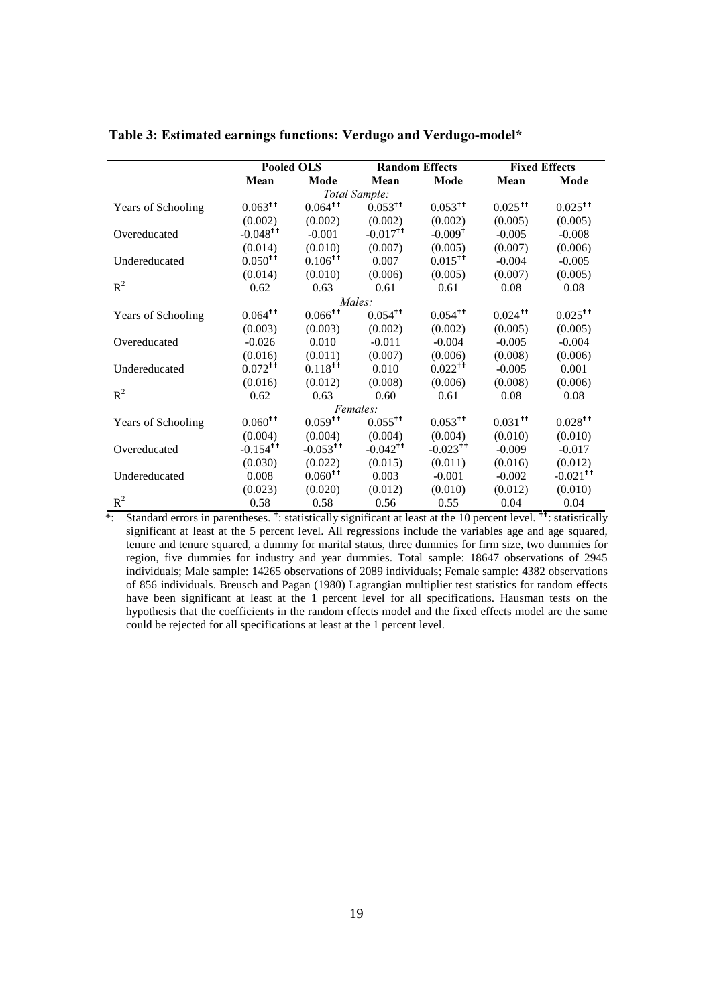|                    |                        | Pooled OLS             |                        | <b>Random Effects</b>  |                       | <b>Fixed Effects</b>   |
|--------------------|------------------------|------------------------|------------------------|------------------------|-----------------------|------------------------|
|                    | Mean                   | Mode                   | Mean                   | Mode                   | Mean                  | Mode                   |
|                    |                        |                        | Total Sample:          |                        |                       |                        |
| Years of Schooling | $0.063$ <sup>++</sup>  | $0.064$ <sup>++</sup>  | $0.053$ <sup>++</sup>  | $0.053$ <sup>++</sup>  | $0.025$ <sup>++</sup> | $0.025$ <sup>++</sup>  |
|                    | (0.002)                | (0.002)                | (0.002)                | (0.002)                | (0.005)               | (0.005)                |
| Overeducated       | $-0.048$ <sup>++</sup> | $-0.001$               | $-0.017$ <sup>++</sup> | $-0.009$ <sup>+</sup>  | $-0.005$              | $-0.008$               |
|                    | (0.014)                | (0.010)                | (0.007)                | (0.005)                | (0.007)               | (0.006)                |
| Undereducated      | $0.050^{+1}$           | $0.106^{+1}$           | 0.007                  | $0.015$ <sup>++</sup>  | $-0.004$              | $-0.005$               |
|                    | (0.014)                | (0.010)                | (0.006)                | (0.005)                | (0.007)               | (0.005)                |
| $R^2$              | 0.62                   | 0.63                   | 0.61                   | 0.61                   | 0.08                  | 0.08                   |
|                    |                        |                        | Males:                 |                        |                       |                        |
| Years of Schooling | $0.064$ <sup>++</sup>  | $0.066$ <sup>++</sup>  | $0.054$ <sup>++</sup>  | $0.054$ <sup>††</sup>  | $0.024$ <sup>++</sup> | $0.025$ <sup>++</sup>  |
|                    | (0.003)                | (0.003)                | (0.002)                | (0.002)                | (0.005)               | (0.005)                |
| Overeducated       | $-0.026$               | 0.010                  | $-0.011$               | $-0.004$               | $-0.005$              | $-0.004$               |
|                    | (0.016)                | (0.011)                | (0.007)                | (0.006)                | (0.008)               | (0.006)                |
| Undereducated      | $0.072$ <sup>++</sup>  | $0.118^{+1}$           | 0.010                  | $0.022$ <sup>++</sup>  | $-0.005$              | 0.001                  |
|                    | (0.016)                | (0.012)                | (0.008)                | (0.006)                | (0.008)               | (0.006)                |
| $R^2$              | 0.62                   | 0.63                   | 0.60                   | 0.61                   | 0.08                  | 0.08                   |
|                    |                        |                        | Females:               |                        |                       |                        |
| Years of Schooling | $0.060$ <sup>++</sup>  | $0.059$ <sup>++</sup>  | $0.055$ <sup>++</sup>  | $0.053$ <sup>++</sup>  | $0.031$ <sup>++</sup> | $0.028$ <sup>++</sup>  |
|                    | (0.004)                | (0.004)                | (0.004)                | (0.004)                | (0.010)               | (0.010)                |
| Overeducated       | $-0.154$ <sup>++</sup> | $-0.053$ <sup>++</sup> | $-0.042$ <sup>++</sup> | $-0.023$ <sup>++</sup> | $-0.009$              | $-0.017$               |
|                    | (0.030)                | (0.022)                | (0.015)                | (0.011)                | (0.016)               | (0.012)                |
| Undereducated      | 0.008                  | $0.060$ <sup>++</sup>  | 0.003                  | $-0.001$               | $-0.002$              | $-0.021$ <sup>++</sup> |
|                    | (0.023)                | (0.020)                | (0.012)                | (0.010)                | (0.012)               | (0.010)                |
| $R^2$              | 0.58                   | 0.58                   | 0.56                   | 0.55                   | 0.04                  | 0.04                   |

Table 3: Estimated earnings functions: Verdugo and Verdugo-model\*

\*: Standard errors in parentheses. <sup>†</sup>: statistically significant at least at the 10 percent level. <sup>††</sup>: statistically significant at least at the 5 percent level. All regressions include the variables age and age squared, tenure and tenure squared, a dummy for marital status, three dummies for firm size, two dummies for region, five dummies for industry and year dummies. Total sample: 18647 observations of 2945 individuals; Male sample: 14265 observations of 2089 individuals; Female sample: 4382 observations of 856 individuals. Breusch and Pagan (1980) Lagrangian multiplier test statistics for random effects have been significant at least at the 1 percent level for all specifications. Hausman tests on the hypothesis that the coefficients in the random effects model and the fixed effects model are the same could be rejected for all specifications at least at the 1 percent level.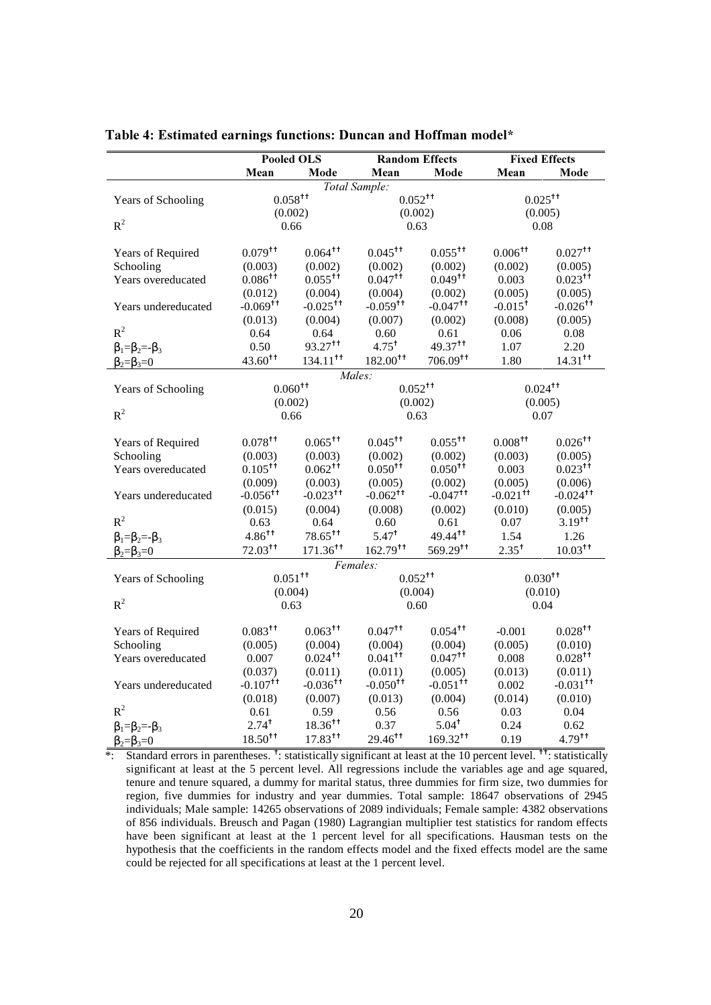|                                | <b>Pooled OLS</b>                 | <b>Fixed Effects</b>              |                                   |                                   |                                   |                                   |  |
|--------------------------------|-----------------------------------|-----------------------------------|-----------------------------------|-----------------------------------|-----------------------------------|-----------------------------------|--|
|                                | Mean                              | Mode                              | Mean                              | <b>Random Effects</b><br>Mode     | Mean                              | Mode                              |  |
|                                |                                   |                                   | Total Sample:                     |                                   |                                   |                                   |  |
| Years of Schooling             | $0.058$ <sup>++</sup>             |                                   | $0.052^{+1}$                      |                                   | $0.025$ <sup>++</sup>             |                                   |  |
|                                |                                   | (0.002)                           |                                   | (0.002)                           | (0.005)                           |                                   |  |
| $R^2$                          |                                   | 0.66                              |                                   | 0.63                              | 0.08                              |                                   |  |
|                                |                                   |                                   |                                   |                                   |                                   |                                   |  |
| Years of Required              | $0.079$ <sup>++</sup>             | $0.064$ <sup>++</sup>             | $0.045$ <sup>++</sup>             | $0.055$ <sup>++</sup>             | $0.006$ <sup>++</sup>             | $0.027$ <sup>++</sup>             |  |
| Schooling                      | (0.003)                           | (0.002)                           | (0.002)                           | (0.002)                           | (0.002)                           | (0.005)                           |  |
| Years overeducated             | $0.086$ <sup>++</sup>             | $0.055$ <sup>++</sup>             | $0.047$ <sup>++</sup>             | $0.049$ <sup>++</sup>             | 0.003                             | $0.023$ <sup>++</sup>             |  |
|                                | (0.012)                           | (0.004)                           | (0.004)                           | (0.002)                           | (0.005)                           | (0.005)                           |  |
| Years undereducated            | $-0.069$ <sup>++</sup>            | $-0.025$ <sup>++</sup>            | $-0.059$ <sup>++</sup>            | $-0.047$ <sup>++</sup>            | $-0.015$ <sup>+</sup>             | $-0.026$ <sup>++</sup>            |  |
|                                | (0.013)                           | (0.004)                           | (0.007)                           | (0.002)                           | (0.008)                           | (0.005)                           |  |
| $R^2$                          | 0.64                              | 0.64                              | 0.60                              | 0.61                              | 0.06                              | 0.08                              |  |
| $\beta_1 = \beta_2 = -\beta_3$ | 0.50                              | 93.27 <sup>++</sup>               | $4.75$ <sup>+</sup>               | $49.37$ <sup>++</sup>             | 1.07                              | 2.20                              |  |
| $\beta_2 = \beta_3 = 0$        | $43.60^{+1}$                      | $134.11$ <sup>++</sup>            | $182.00^{+t}$                     | $706.09$ <sup>++</sup>            | 1.80                              | $14.31$ <sup>++</sup>             |  |
|                                |                                   |                                   | Males:                            |                                   |                                   |                                   |  |
| Years of Schooling             | $0.060^{+t}$                      |                                   | $0.052^{++}$                      |                                   | $0.024$ <sup>++</sup>             |                                   |  |
|                                | (0.002)                           |                                   |                                   | (0.002)                           | (0.005)                           |                                   |  |
| $R^2$                          | 0.66                              |                                   | 0.63                              |                                   | 0.07                              |                                   |  |
|                                |                                   |                                   | $0.045$ <sup>++</sup>             | $0.055^{++}$                      |                                   |                                   |  |
| Years of Required              | $0.078$ <sup>++</sup>             | $0.065$ <sup>++</sup>             |                                   |                                   | $0.008^{+1}$                      | $0.026$ <sup>++</sup>             |  |
| Schooling                      | (0.003)<br>$0.105^{+1}$           | (0.003)<br>$0.062$ <sup>++</sup>  | (0.002)<br>$0.050^{+1}$           | (0.002)<br>$0.050^{+1}$           | (0.003)                           | (0.005)<br>$0.023$ <sup>++</sup>  |  |
| Years overeducated             |                                   |                                   |                                   |                                   | 0.003                             |                                   |  |
|                                | (0.009)<br>$-0.056$ <sup>++</sup> | (0.003)<br>$-0.023$ <sup>++</sup> | (0.005)<br>$-0.062$ <sup>++</sup> | (0.002)<br>$-0.047$ <sup>++</sup> | (0.005)<br>$-0.021$ <sup>++</sup> | (0.006)<br>$-0.024$ <sup>++</sup> |  |
| Years undereducated            |                                   |                                   |                                   |                                   |                                   |                                   |  |
| $R^2$                          | (0.015)<br>0.63                   | (0.004)<br>0.64                   | (0.008)<br>0.60                   | (0.002)<br>0.61                   | (0.010)<br>0.07                   | (0.005)<br>$3.19^{++}$            |  |
|                                | $4.86^{++}$                       | $78.65$ <sup>++</sup>             | $5.47^+$                          | 49.44 <sup>++</sup>               | 1.54                              | 1.26                              |  |
| $\beta_1 = \beta_2 = -\beta_3$ | $72.03$ <sup>++</sup>             | $171.36$ <sup>++</sup>            | $162.79$ <sup>tt</sup>            | $569.29$ <sup>++</sup>            | $2.35^+$                          | $10.03$ <sup>++</sup>             |  |
| $\beta_2 = \beta_3 = 0$        |                                   |                                   | Females:                          |                                   |                                   |                                   |  |
| Years of Schooling             | $0.051$ <sup>++</sup>             |                                   | $0.052$ <sup>++</sup>             |                                   | $0.030^{+1}$                      |                                   |  |
|                                |                                   | (0.004)                           | (0.004)                           |                                   | (0.010)                           |                                   |  |
| $R^2$                          | 0.63                              |                                   |                                   | 0.60                              | 0.04                              |                                   |  |
|                                |                                   |                                   |                                   |                                   |                                   |                                   |  |
| Years of Required              | $0.083$ <sup>++</sup>             | $0.063$ <sup>++</sup>             | $0.047$ <sup>++</sup>             | $0.054$ <sup>††</sup>             | $-0.001$                          | $0.028$ <sup>++</sup>             |  |
| Schooling                      | (0.005)                           | (0.004)                           | (0.004)                           | (0.004)                           | (0.005)                           | (0.010)                           |  |
| Years overeducated             | 0.007                             | $0.024$ <sup>++</sup>             | $0.041$ <sup>++</sup>             | $0.047$ <sup>++</sup>             | 0.008                             | $0.028$ <sup>++</sup>             |  |
|                                | (0.037)                           | (0.011)                           | (0.011)                           | (0.005)                           | (0.013)                           | (0.011)                           |  |
| Years undereducated            | $-0.107$ <sup>++</sup>            | $-0.036$ <sup>++</sup>            | $-0.050^{+1}$                     | $-0.051$ <sup>++</sup>            | 0.002                             | $-0.031$ <sup>++</sup>            |  |
|                                | (0.018)                           | (0.007)                           | (0.013)                           | (0.004)                           | (0.014)                           | (0.010)                           |  |
| $R^2$                          | 0.61                              | 0.59                              | 0.56                              | 0.56                              | 0.03                              | 0.04                              |  |
| $\beta_1 = \beta_2 = -\beta_3$ | $2.74^{+}$                        | $18.36$ <sup>++</sup>             | 0.37                              | $5.04^+$                          | 0.24                              | 0.62                              |  |
| $\beta_2 = \beta_3 = 0$        | $18.50^{++}$                      | $17.83$ <sup>++</sup>             | $29.46^{++}$                      | $169.32$ <sup>++</sup>            | 0.19                              | $4.79^{++}$                       |  |

Table 4: Estimated earnings functions: Duncan and Hoffman model\*

\*: Standard errors in parentheses. <sup>†</sup>: statistically significant at least at the 10 percent level. <sup>††</sup>: statistically significant at least at the 5 percent level. All regressions include the variables age and age squared, tenure and tenure squared, a dummy for marital status, three dummies for firm size, two dummies for region, five dummies for industry and year dummies. Total sample: 18647 observations of 2945 individuals; Male sample: 14265 observations of 2089 individuals; Female sample: 4382 observations of 856 individuals. Breusch and Pagan (1980) Lagrangian multiplier test statistics for random effects have been significant at least at the 1 percent level for all specifications. Hausman tests on the hypothesis that the coefficients in the random effects model and the fixed effects model are the same could be rejected for all specifications at least at the 1 percent level.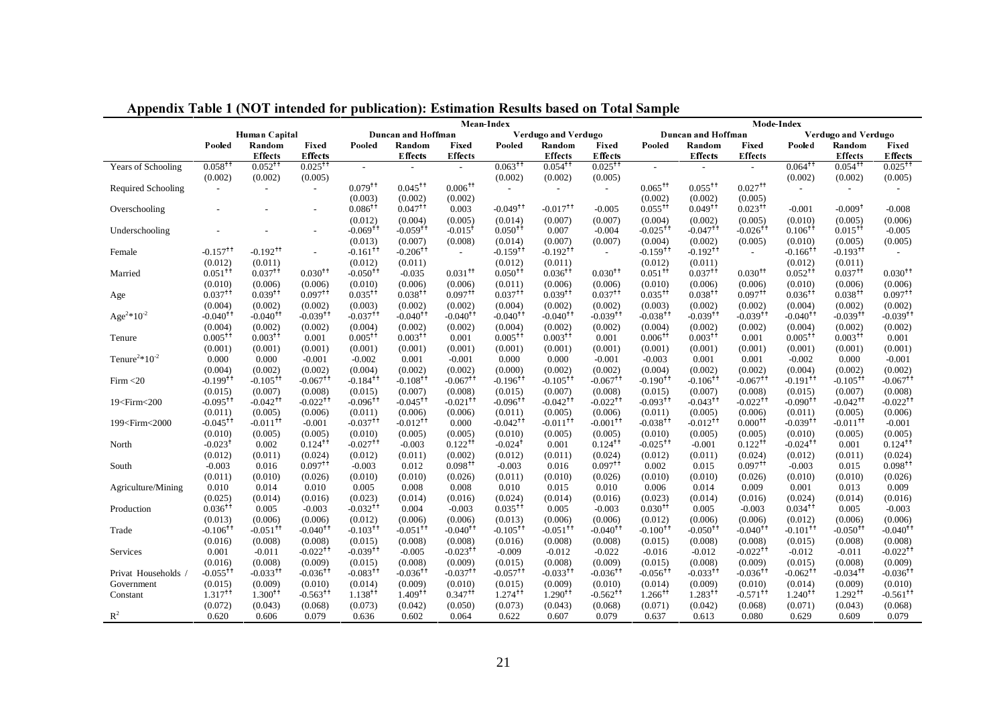|                                                                                                                                                                                                                                                                                                                                                                                                                                                                                                                                                                                                                                                                                                                                                                                                          |                                   | $10011$ $10010$ $1110$ $11100$ $10100$ |                                   | publication). Estimation resource subcet on Total Sain<br>Mean-Index |                                   |                                  |                                   |                                   | Mode-Index                        |                                   |                                   |                                   |                                   |                                     |                                     |
|----------------------------------------------------------------------------------------------------------------------------------------------------------------------------------------------------------------------------------------------------------------------------------------------------------------------------------------------------------------------------------------------------------------------------------------------------------------------------------------------------------------------------------------------------------------------------------------------------------------------------------------------------------------------------------------------------------------------------------------------------------------------------------------------------------|-----------------------------------|----------------------------------------|-----------------------------------|----------------------------------------------------------------------|-----------------------------------|----------------------------------|-----------------------------------|-----------------------------------|-----------------------------------|-----------------------------------|-----------------------------------|-----------------------------------|-----------------------------------|-------------------------------------|-------------------------------------|
|                                                                                                                                                                                                                                                                                                                                                                                                                                                                                                                                                                                                                                                                                                                                                                                                          | Human Capital                     |                                        |                                   |                                                                      | Duncan and Hoffman                |                                  | Verdugo and Verdugo               |                                   |                                   |                                   | Duncan and Hoffman                |                                   |                                   | Verdugo and Verdugo                 |                                     |
|                                                                                                                                                                                                                                                                                                                                                                                                                                                                                                                                                                                                                                                                                                                                                                                                          | Pooled                            | Random                                 | Fixed                             | Pooled                                                               | Random                            | Fixed                            | Pooled                            | Random                            | Fixed                             | Pooled                            | Random                            | Fixed                             | Pooled                            | Random                              | Fixed                               |
|                                                                                                                                                                                                                                                                                                                                                                                                                                                                                                                                                                                                                                                                                                                                                                                                          |                                   | <b>Effects</b>                         | <b>Effects</b>                    |                                                                      | <b>Effects</b>                    | <b>Effects</b>                   |                                   | <b>Effects</b>                    | <b>Effects</b>                    |                                   | <b>Effects</b>                    | <b>Effects</b>                    |                                   | <b>Effects</b>                      | <b>Effects</b>                      |
| Years of Schooling                                                                                                                                                                                                                                                                                                                                                                                                                                                                                                                                                                                                                                                                                                                                                                                       | $0.058$ <sup>††</sup><br>(0.002)  | $0.052$ <sup>++</sup>                  | $0.025$ <sup>++</sup>             |                                                                      | $\sim$                            | $\mathcal{L}$                    | $0.063$ <sup>++</sup>             | $0.054$ <sup>++</sup><br>(0.002)  | $0.025^{+1}$                      |                                   | $\mathcal{L}$                     | $\mathcal{L}_{\mathcal{A}}$       | $0.064$ <sup>++</sup><br>(0.002)  | $0.054$ <sup>++</sup>               | $0.025$ <sup>++</sup>               |
| Required Schooling                                                                                                                                                                                                                                                                                                                                                                                                                                                                                                                                                                                                                                                                                                                                                                                       | $\sim$                            | (0.002)                                | (0.005)<br>$\sim$                 | $0.079$ <sup>††</sup>                                                | $0.045$ <sup>++</sup>             | $0.006$ <sup>++</sup>            | (0.002)<br>$\sim$                 | $\sim$                            | (0.005)<br>$\sim$                 | $0.065$ <sup>++</sup>             | $0.055^{+1}$                      | $0.027$ <sup>++</sup>             | $\sim$                            | (0.002)<br>$\overline{\phantom{a}}$ | (0.005)                             |
|                                                                                                                                                                                                                                                                                                                                                                                                                                                                                                                                                                                                                                                                                                                                                                                                          |                                   |                                        |                                   | (0.003)                                                              | (0.002)                           | (0.002)                          |                                   |                                   |                                   | (0.002)                           | (0.002)                           | (0.005)                           |                                   |                                     |                                     |
| Overschooling                                                                                                                                                                                                                                                                                                                                                                                                                                                                                                                                                                                                                                                                                                                                                                                            |                                   |                                        |                                   | $0.086$ <sup>++</sup>                                                | $0.047$ <sup>++</sup>             | 0.003                            | $-0.049$ <sup>††</sup>            | $-0.017$ <sup>++</sup>            | $-0.005$                          | $0.055$ <sup>++</sup>             | $0.049$ <sup>++</sup>             | $0.023$ <sup>++</sup>             | $-0.001$                          | $-0.009$ <sup>t</sup>               | $-0.008$                            |
|                                                                                                                                                                                                                                                                                                                                                                                                                                                                                                                                                                                                                                                                                                                                                                                                          |                                   |                                        |                                   | (0.012)                                                              | (0.004)                           | (0.005)                          | (0.014)                           | (0.007)                           | (0.007)                           | (0.004)                           | (0.002)                           | (0.005)                           | (0.010)                           | (0.005)                             | (0.006)                             |
| Underschooling                                                                                                                                                                                                                                                                                                                                                                                                                                                                                                                                                                                                                                                                                                                                                                                           |                                   |                                        |                                   | $-0.069$ <sup>++</sup>                                               | $-0.059$ <sup>++</sup>            | $-0.015$ <sup>†</sup>            | $0.050^{+1}$                      | 0.007                             | $-0.004$                          | $-0.025$ <sup>++</sup>            | $-0.047$ <sup>++</sup>            | $-0.026$ <sup>++</sup>            | $0.106^{+1}$                      | $0.015$ <sup>++</sup>               | $-0.005$                            |
|                                                                                                                                                                                                                                                                                                                                                                                                                                                                                                                                                                                                                                                                                                                                                                                                          |                                   |                                        |                                   | (0.013)                                                              | (0.007)                           | (0.008)                          | (0.014)                           | (0.007)                           | (0.007)                           | (0.004)                           | (0.002)                           | (0.005)                           | (0.010)                           | (0.005)                             | (0.005)                             |
| Female                                                                                                                                                                                                                                                                                                                                                                                                                                                                                                                                                                                                                                                                                                                                                                                                   | $-0.157$ <sup>++</sup><br>(0.012) | $-0.192$ <sup>++</sup><br>(0.011)      | $\sim$                            | $-0.161$ <sup>++</sup><br>(0.012)                                    | $-0.206$ <sup>++</sup><br>(0.011) | $\sim$                           | $-0.159$ <sup>++</sup><br>(0.012) | $-0.192$ <sup>++</sup><br>(0.011) | $\overline{\phantom{a}}$          | $-0.159$ <sup>++</sup><br>(0.012) | $-0.192$ <sup>++</sup><br>(0.011) | $\sim$                            | $-0.166$ <sup>++</sup><br>(0.012) | $-0.193$ <sup>++</sup><br>(0.011)   | $\sim$                              |
| Married                                                                                                                                                                                                                                                                                                                                                                                                                                                                                                                                                                                                                                                                                                                                                                                                  | $0.051^{+1}$                      | $0.037$ <sup>++</sup>                  | $0.030^{+1}$                      | $-0.050^{+1}$                                                        | $-0.035$                          | $0.031$ <sup>++</sup>            | $0.050^{+1}$                      | $0.036$ <sup>++</sup>             | $0.030^{+1}$                      | $0.051$ <sup>++</sup>             | $0.037$ <sup>++</sup>             | $0.030^{+1}$                      | $0.052^{+1}$                      | $0.037$ <sup>++</sup>               | $0.030^{+1}$                        |
|                                                                                                                                                                                                                                                                                                                                                                                                                                                                                                                                                                                                                                                                                                                                                                                                          | (0.010)                           | (0.006)                                | (0.006)                           | (0.010)                                                              | (0.006)                           | (0.006)                          | (0.011)                           | (0.006)                           | (0.006)                           | (0.010)                           | (0.006)                           | (0.006)                           | (0.010)                           | (0.006)                             | (0.006)                             |
| Age                                                                                                                                                                                                                                                                                                                                                                                                                                                                                                                                                                                                                                                                                                                                                                                                      | $0.037$ <sup>++</sup>             | $0.039$ <sup>++</sup>                  | $0.097$ <sup>++</sup>             | $0.035$ <sup>++</sup>                                                | $0.038$ <sup>++</sup>             | $0.097$ <sup>++</sup>            | $0.037$ <sup>++</sup>             | $0.039$ <sup>++</sup>             | $0.037$ <sup>++</sup>             | $0.035$ <sup>++</sup>             | $0.038^{+1}$                      | $0.097$ <sup>++</sup>             | $0.036$ <sup>++</sup>             | $0.038$ <sup>++</sup>               | $0.097$ <sup>++</sup>               |
|                                                                                                                                                                                                                                                                                                                                                                                                                                                                                                                                                                                                                                                                                                                                                                                                          | (0.004)                           | (0.002)                                | (0.002)                           | (0.003)                                                              | (0.002)                           | (0.002)                          | (0.004)                           | (0.002)                           | (0.002)                           | (0.003)                           | (0.002)                           | (0.002)                           | (0.004)                           | (0.002)                             | (0.002)                             |
| Age <sup>2</sup> *10 <sup>-2</sup>                                                                                                                                                                                                                                                                                                                                                                                                                                                                                                                                                                                                                                                                                                                                                                       | $-0.040$ <sup>++</sup>            | $-0.040$ <sup>++</sup>                 | $-0.039$ <sup>++</sup>            | $-0.037$ <sup><math>+</math></sup>                                   | $-0.040$ <sup>++</sup>            | $-0.040$ <sup>++</sup>           | $-0.040$ <sup>++</sup>            | $-0.040$ <sup>++</sup>            | $-0.039$ <sup>††</sup>            | $-0.038$ <sup>††</sup>            | $-0.039$ <sup>††</sup>            | $-0.039$ <sup>++</sup>            | $-0.040$ <sup>++</sup>            | $-0.039$ <sup>++</sup>              | $-0.039$ <sup>++</sup>              |
|                                                                                                                                                                                                                                                                                                                                                                                                                                                                                                                                                                                                                                                                                                                                                                                                          | (0.004)                           | (0.002)                                | (0.002)                           | (0.004)                                                              | (0.002)                           | (0.002)                          | (0.004)                           | (0.002)                           | (0.002)                           | (0.004)                           | (0.002)                           | (0.002)                           | (0.004)                           | (0.002)                             | (0.002)                             |
| Tenure                                                                                                                                                                                                                                                                                                                                                                                                                                                                                                                                                                                                                                                                                                                                                                                                   | $0.005$ <sup>++</sup><br>(0.001)  | $0.003$ <sup>++</sup><br>(0.001)       | 0.001<br>(0.001)                  | $0.005$ <sup>++</sup><br>(0.001)                                     | $0.003$ <sup>++</sup><br>(0.001)  | 0.001<br>(0.001)                 | $0.005$ <sup>++</sup><br>(0.001)  | $0.003$ <sup>++</sup><br>(0.001)  | 0.001<br>(0.001)                  | $0.006$ <sup>++</sup><br>(0.001)  | $0.003^{+1}$<br>(0.001)           | 0.001<br>(0.001)                  | $0.005$ <sup>++</sup><br>(0.001)  | $0.003$ <sup>++</sup><br>(0.001)    | 0.001<br>(0.001)                    |
| Tenure <sup>2*</sup> $10^{-2}$                                                                                                                                                                                                                                                                                                                                                                                                                                                                                                                                                                                                                                                                                                                                                                           | 0.000                             | 0.000                                  | $-0.001$                          | $-0.002$                                                             | 0.001                             | $-0.001$                         | 0.000                             | 0.000                             | $-0.001$                          | $-0.003$                          | 0.001                             | 0.001                             | $-0.002$                          | 0.000                               | $-0.001$                            |
|                                                                                                                                                                                                                                                                                                                                                                                                                                                                                                                                                                                                                                                                                                                                                                                                          | (0.004)                           | (0.002)                                | (0.002)                           | (0.004)                                                              | (0.002)                           | (0.002)                          | (0.000)                           | (0.002)                           | (0.002)                           | (0.004)                           | (0.002)                           | (0.002)                           | (0.004)                           | (0.002)                             | (0.002)                             |
| Firm < 20                                                                                                                                                                                                                                                                                                                                                                                                                                                                                                                                                                                                                                                                                                                                                                                                | $-0.199$ <sup>++</sup>            | $-0.105^{++}$                          | $-0.067$ <sup>++</sup>            | $-0.184$ <sup>++</sup>                                               | $-0.108$ <sup>++</sup>            | $-0.067$ <sup>++</sup>           | $-0.196$ <sup>++</sup>            | $-0.105$ <sup>++</sup>            | $-0.067$ <sup>++</sup>            | $-0.190^{+1}$                     | $-0.106$ <sup>++</sup>            | $-0.067$ <sup>++</sup>            | $-0.191$ <sup>++</sup>            | $-0.105$ <sup>++</sup>              | $-0.067$ <sup><math>+</math>†</sup> |
|                                                                                                                                                                                                                                                                                                                                                                                                                                                                                                                                                                                                                                                                                                                                                                                                          | (0.015)                           | (0.007)                                | (0.008)                           | (0.015)                                                              | (0.007)                           | (0.008)                          | (0.015)                           | (0.007)                           | (0.008)                           | (0.015)                           | (0.007)                           | (0.008)                           | (0.015)                           | (0.007)                             | (0.008)                             |
| 19 <firm<200< td=""><td><math>-0.095</math><sup>++</sup></td><td><math>-0.042</math><sup>++</sup></td><td><math>-0.022</math><sup>++</sup></td><td><math>-0.096</math><sup>++</sup></td><td><math>-0.045</math><sup>++</sup></td><td><math>-0.021</math><sup>++</sup></td><td><math>-0.096</math><sup>++</sup></td><td><math>-0.042</math><sup>++</sup></td><td><math>-0.022</math><sup>++</sup></td><td><math>-0.093</math><sup>++</sup></td><td><math>-0.043</math><sup>++</sup></td><td><math>-0.022</math><sup>++</sup></td><td><math>-0.090</math><sup>++</sup></td><td><math>-0.042</math><sup>++</sup></td><td><math>-0.022</math><sup>++</sup></td></firm<200<>                                                                                                                                  | $-0.095$ <sup>++</sup>            | $-0.042$ <sup>++</sup>                 | $-0.022$ <sup>++</sup>            | $-0.096$ <sup>++</sup>                                               | $-0.045$ <sup>++</sup>            | $-0.021$ <sup>++</sup>           | $-0.096$ <sup>++</sup>            | $-0.042$ <sup>++</sup>            | $-0.022$ <sup>++</sup>            | $-0.093$ <sup>++</sup>            | $-0.043$ <sup>++</sup>            | $-0.022$ <sup>++</sup>            | $-0.090$ <sup>++</sup>            | $-0.042$ <sup>++</sup>              | $-0.022$ <sup>++</sup>              |
| 199 <firm<2000< td=""><td>(0.011)<br/><math>-0.045</math><sup>++</sup></td><td>(0.005)<br/><math>-0.011</math><sup>++</sup></td><td>(0.006)<br/><math>-0.001</math></td><td>(0.011)<br/><math>-0.037</math><sup>++</sup></td><td>(0.006)<br/><math>-0.012</math><sup>++</sup></td><td>(0.006)<br/>0.000</td><td>(0.011)<br/><math>-0.042</math><sup>++</sup></td><td>(0.005)<br/><math>-0.011</math><sup>++</sup></td><td>(0.006)<br/><math>-0.001</math><sup>++</sup></td><td>(0.011)<br/><math>-0.038</math><sup>††</sup></td><td>(0.005)<br/><math>-0.012</math><sup>++</sup></td><td>(0.006)<br/><math>0.000</math><sup>++</sup></td><td>(0.011)<br/><math>-0.039</math><sup>++</sup></td><td>(0.005)<br/><math>-0.011</math><sup>++</sup></td><td>(0.006)<br/><math>-0.001</math></td></firm<2000<> | (0.011)<br>$-0.045$ <sup>++</sup> | (0.005)<br>$-0.011$ <sup>++</sup>      | (0.006)<br>$-0.001$               | (0.011)<br>$-0.037$ <sup>++</sup>                                    | (0.006)<br>$-0.012$ <sup>++</sup> | (0.006)<br>0.000                 | (0.011)<br>$-0.042$ <sup>++</sup> | (0.005)<br>$-0.011$ <sup>++</sup> | (0.006)<br>$-0.001$ <sup>++</sup> | (0.011)<br>$-0.038$ <sup>††</sup> | (0.005)<br>$-0.012$ <sup>++</sup> | (0.006)<br>$0.000$ <sup>++</sup>  | (0.011)<br>$-0.039$ <sup>++</sup> | (0.005)<br>$-0.011$ <sup>++</sup>   | (0.006)<br>$-0.001$                 |
|                                                                                                                                                                                                                                                                                                                                                                                                                                                                                                                                                                                                                                                                                                                                                                                                          | (0.010)                           | (0.005)                                | (0.005)                           | (0.010)                                                              | (0.005)                           | (0.005)                          | (0.010)                           | (0.005)                           | (0.005)                           | (0.010)                           | (0.005)                           | (0.005)                           | (0.010)                           | (0.005)                             | (0.005)                             |
| North                                                                                                                                                                                                                                                                                                                                                                                                                                                                                                                                                                                                                                                                                                                                                                                                    | $-0.023$ <sup>+</sup>             | 0.002                                  | $0.124$ <sup>++</sup>             | $-0.027$ <sup>++</sup>                                               | $-0.003$                          | $0.122$ <sup>++</sup>            | $-0.024$ <sup>+</sup>             | 0.001                             | $0.124$ <sup>††</sup>             | $-0.025$ <sup>++</sup>            | $-0.001$                          | $0.122$ <sup>++</sup>             | $-0.024$ <sup>++</sup>            | 0.001                               | $0.124$ <sup>++</sup>               |
|                                                                                                                                                                                                                                                                                                                                                                                                                                                                                                                                                                                                                                                                                                                                                                                                          | (0.012)                           | (0.011)                                | (0.024)                           | (0.012)                                                              | (0.011)                           | (0.002)                          | (0.012)                           | (0.011)                           | (0.024)                           | (0.012)                           | (0.011)                           | (0.024)                           | (0.012)                           | (0.011)                             | (0.024)                             |
| South                                                                                                                                                                                                                                                                                                                                                                                                                                                                                                                                                                                                                                                                                                                                                                                                    | $-0.003$                          | 0.016                                  | $0.097^{+1}$                      | $-0.003$                                                             | 0.012                             | $0.098$ <sup>++</sup>            | $-0.003$                          | 0.016                             | $0.097$ <sup>++</sup>             | 0.002                             | 0.015                             | $0.097$ <sup>++</sup>             | $-0.003$                          | 0.015                               | $0.098$ <sup>++</sup>               |
|                                                                                                                                                                                                                                                                                                                                                                                                                                                                                                                                                                                                                                                                                                                                                                                                          | (0.011)                           | (0.010)                                | (0.026)                           | (0.010)                                                              | (0.010)                           | (0.026)                          | (0.011)                           | (0.010)                           | (0.026)                           | (0.010)                           | (0.010)                           | (0.026)                           | (0.010)                           | (0.010)                             | (0.026)                             |
| Agriculture/Mining                                                                                                                                                                                                                                                                                                                                                                                                                                                                                                                                                                                                                                                                                                                                                                                       | 0.010                             | 0.014                                  | 0.010                             | 0.005                                                                | 0.008                             | 0.008                            | 0.010                             | 0.015                             | 0.010                             | 0.006                             | 0.014                             | 0.009                             | 0.001                             | 0.013                               | 0.009                               |
| Production                                                                                                                                                                                                                                                                                                                                                                                                                                                                                                                                                                                                                                                                                                                                                                                               | (0.025)<br>$0.036^{+1}$           | (0.014)<br>0.005                       | (0.016)<br>$-0.003$               | (0.023)<br>$-0.032$ <sup>++</sup>                                    | (0.014)<br>0.004                  | (0.016)<br>$-0.003$              | (0.024)<br>$0.035$ <sup>++</sup>  | (0.014)<br>0.005                  | (0.016)<br>$-0.003$               | (0.023)<br>$0.030^{+1}$           | (0.014)<br>0.005                  | (0.016)<br>$-0.003$               | (0.024)<br>$0.034$ <sup>++</sup>  | (0.014)<br>0.005                    | (0.016)<br>$-0.003$                 |
|                                                                                                                                                                                                                                                                                                                                                                                                                                                                                                                                                                                                                                                                                                                                                                                                          | (0.013)                           | (0.006)                                | (0.006)                           | (0.012)                                                              | (0.006)                           | (0.006)                          | (0.013)                           | (0.006)                           | (0.006)                           | (0.012)                           | (0.006)                           | (0.006)                           | (0.012)                           | (0.006)                             | (0.006)                             |
| Trade                                                                                                                                                                                                                                                                                                                                                                                                                                                                                                                                                                                                                                                                                                                                                                                                    | $-0.106$ <sup>++</sup>            | $-0.051$ <sup>++</sup>                 | $-0.040$ <sup>++</sup>            | $-0.103$ <sup>++</sup>                                               | $-0.051$ <sup>++</sup>            | $-0.040$ <sup>++</sup>           | $-0.105$ <sup>++</sup>            | $-0.051$ <sup>++</sup>            | $-0.040$ <sup>++</sup>            | $-0.100^{+1}$                     | $-0.050$ <sup>++</sup>            | $-0.040$ <sup>++</sup>            | $-0.101$ <sup>++</sup>            | $-0.050^{++}$                       | $-0.040$ <sup>++</sup>              |
|                                                                                                                                                                                                                                                                                                                                                                                                                                                                                                                                                                                                                                                                                                                                                                                                          | (0.016)                           | (0.008)                                | (0.008)                           | (0.015)                                                              | (0.008)                           | (0.008)                          | (0.016)                           | (0.008)                           | (0.008)                           | (0.015)                           | (0.008)                           | (0.008)                           | (0.015)                           | (0.008)                             | (0.008)                             |
| Services                                                                                                                                                                                                                                                                                                                                                                                                                                                                                                                                                                                                                                                                                                                                                                                                 | 0.001                             | $-0.011$                               | $-0.022$ <sup>++</sup>            | $-0.039$ <sup>++</sup>                                               | $-0.005$                          | $-0.023$ <sup>++</sup>           | $-0.009$                          | $-0.012$                          | $-0.022$                          | $-0.016$                          | $-0.012$                          | $-0.022$ <sup>++</sup>            | $-0.012$                          | $-0.011$                            | $-0.022$ <sup>++</sup>              |
|                                                                                                                                                                                                                                                                                                                                                                                                                                                                                                                                                                                                                                                                                                                                                                                                          | (0.016)                           | (0.008)                                | (0.009)                           | (0.015)                                                              | (0.008)                           | (0.009)                          | (0.015)                           | (0.008)                           | (0.009)                           | (0.015)                           | (0.008)                           | (0.009)                           | (0.015)                           | (0.008)                             | (0.009)                             |
| Privat Households /                                                                                                                                                                                                                                                                                                                                                                                                                                                                                                                                                                                                                                                                                                                                                                                      | $-0.055$ <sup>++</sup>            | $-0.033$ <sup>++</sup>                 | $-0.036$ <sup>++</sup>            | $-0.083$ <sup>++</sup>                                               | $-0.036$ <sup>++</sup>            | $-0.037$ <sup>++</sup>           | $-0.057$ <sup>++</sup>            | $-0.033$ <sup>++</sup><br>(0.009) | $-0.036$ <sup>++</sup>            | $-0.056$ <sup>++</sup>            | $-0.033$ <sup>++</sup><br>(0.009) | $-0.036$ <sup>++</sup>            | $-0.062^{+1}$                     | $-0.034$ <sup>++</sup>              | $-0.036$ <sup><math>+</math>†</sup> |
| Government<br>Constant                                                                                                                                                                                                                                                                                                                                                                                                                                                                                                                                                                                                                                                                                                                                                                                   | (0.015)<br>$1.317$ <sup>++</sup>  | (0.009)<br>$1.300^{+1}$                | (0.010)<br>$-0.563$ <sup>++</sup> | (0.014)<br>$1.138$ <sup>††</sup>                                     | (0.009)<br>$1.409$ <sup>††</sup>  | (0.010)<br>$0.347$ <sup>++</sup> | (0.015)<br>$1.274$ <sup>††</sup>  | $1.290^{+1}$                      | (0.010)<br>$-0.562$ <sup>††</sup> | (0.014)<br>$1.266$ <sup>††</sup>  | $1.283$ <sup>++</sup>             | (0.010)<br>$-0.571$ <sup>++</sup> | (0.014)<br>$1.240^{+1}$           | (0.009)<br>$1.292$ <sup>++</sup>    | (0.010)<br>$-0.561$ <sup>++</sup>   |
|                                                                                                                                                                                                                                                                                                                                                                                                                                                                                                                                                                                                                                                                                                                                                                                                          | (0.072)                           | (0.043)                                | (0.068)                           | (0.073)                                                              | (0.042)                           | (0.050)                          | (0.073)                           | (0.043)                           | (0.068)                           | (0.071)                           | (0.042)                           | (0.068)                           | (0.071)                           | (0.043)                             | (0.068)                             |
| $R^2$                                                                                                                                                                                                                                                                                                                                                                                                                                                                                                                                                                                                                                                                                                                                                                                                    | 0.620                             | 0.606                                  | 0.079                             | 0.636                                                                | 0.602                             | 0.064                            | 0.622                             | 0.607                             | 0.079                             | 0.637                             | 0.613                             | 0.080                             | 0.629                             | 0.609                               | 0.079                               |

#### Appendix Table 1 (NOT intended for publication): Estimation Results based on Total Sample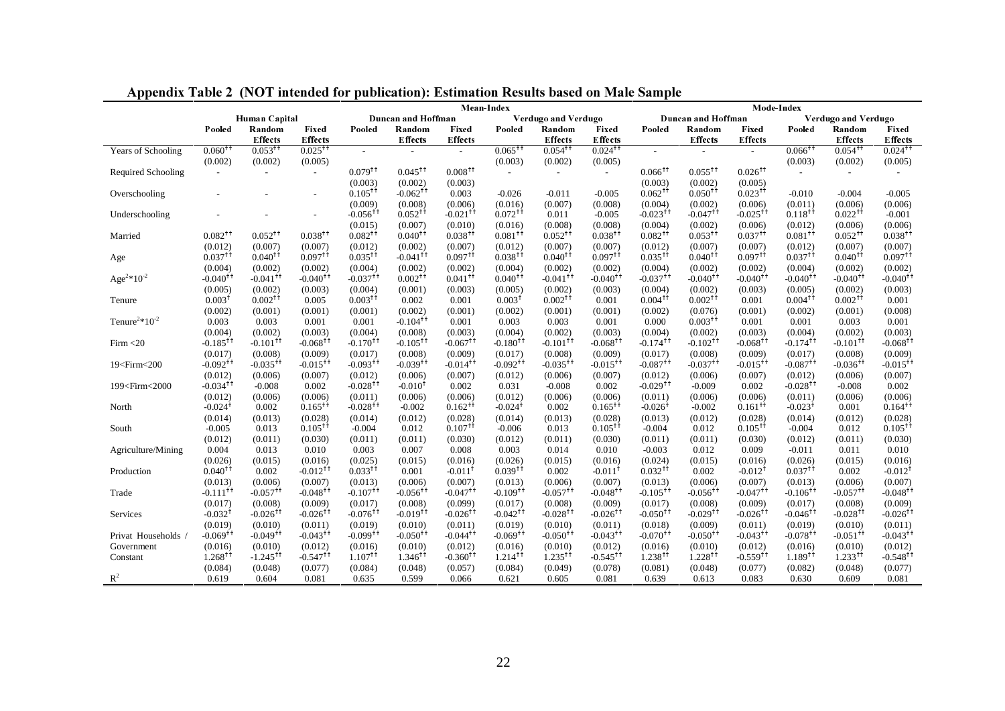|                                                                                                                                                                                                                                                                                                                                                                                                                                                                                                                                                                                                                                                                         | Mean-Index             |                        |                             |                        |                        |                        |                        |                        |                        | Mode Index             |                        |                        |                        |                        |                                          |  |
|-------------------------------------------------------------------------------------------------------------------------------------------------------------------------------------------------------------------------------------------------------------------------------------------------------------------------------------------------------------------------------------------------------------------------------------------------------------------------------------------------------------------------------------------------------------------------------------------------------------------------------------------------------------------------|------------------------|------------------------|-----------------------------|------------------------|------------------------|------------------------|------------------------|------------------------|------------------------|------------------------|------------------------|------------------------|------------------------|------------------------|------------------------------------------|--|
|                                                                                                                                                                                                                                                                                                                                                                                                                                                                                                                                                                                                                                                                         | Human Capital          |                        |                             | Duncan and Hoffman     |                        |                        | Verdugo and Verdugo    |                        |                        |                        | Duncan and Hoffman     |                        |                        | Verdugo and Verdugo    |                                          |  |
|                                                                                                                                                                                                                                                                                                                                                                                                                                                                                                                                                                                                                                                                         | Pooled                 | Random                 | Fixed                       | Pooled                 | Random                 | Fixed                  | Pooled                 | Random                 | Fixed                  | Pooled                 | Random                 | Fixed                  | Pooled                 | Random                 | Fixed                                    |  |
|                                                                                                                                                                                                                                                                                                                                                                                                                                                                                                                                                                                                                                                                         |                        | <b>Effects</b>         | <b>Effects</b>              |                        | <b>Effects</b>         | <b>Effects</b>         |                        | <b>Effects</b>         | <b>Effects</b>         |                        | Effects                | <b>Effects</b>         |                        | <b>Effects</b>         | Effects                                  |  |
| Years of Schooling                                                                                                                                                                                                                                                                                                                                                                                                                                                                                                                                                                                                                                                      | $0.060^{+1}$           | $0.053$ <sup>++</sup>  | $0.025$ <sup>++</sup>       | $\sim$                 | $\sim$                 | $\sim$                 | $0.065$ <sup>++</sup>  | $0.054$ <sup>++</sup>  | $0.024$ <sup>++</sup>  | $\sim$                 |                        | $\sim$                 | $0.066$ <sup>++</sup>  | $0.054$ <sup>++</sup>  | $0.024$ <sup>++</sup>                    |  |
|                                                                                                                                                                                                                                                                                                                                                                                                                                                                                                                                                                                                                                                                         | (0.002)                | (0.002)                | (0.005)                     |                        |                        |                        | (0.003)                | (0.002)                | (0.005)                |                        |                        |                        | (0.003)                | (0.002)                | (0.005)                                  |  |
| Required Schooling                                                                                                                                                                                                                                                                                                                                                                                                                                                                                                                                                                                                                                                      | $\sim$                 | $\sim$                 | $\mathcal{L}^{\mathcal{A}}$ | $0.079$ <sup>++</sup>  | $0.045$ <sup>++</sup>  | $0.008$ <sup>++</sup>  | $\sim$                 | $\sim$                 | $\mathcal{L}$          | $0.066$ <sup>++</sup>  | $0.055$ <sup>++</sup>  | $0.026$ <sup>++</sup>  | $\sim$                 | $\overline{a}$         |                                          |  |
|                                                                                                                                                                                                                                                                                                                                                                                                                                                                                                                                                                                                                                                                         |                        |                        |                             | (0.003)                | (0.002)                | (0.003)                |                        |                        |                        | (0.003)                | (0.002)                | (0.005)                |                        |                        |                                          |  |
| Overschooling                                                                                                                                                                                                                                                                                                                                                                                                                                                                                                                                                                                                                                                           |                        |                        |                             | $0.105$ <sup>++</sup>  | $-0.062$ <sup>++</sup> | 0.003                  | $-0.026$               | $-0.011$               | $-0.005$               | $0.062$ <sup>++</sup>  | $0.050^{+1}$           | $0.023$ <sup>++</sup>  | $-0.010$               | $-0.004$               | $-0.005$                                 |  |
|                                                                                                                                                                                                                                                                                                                                                                                                                                                                                                                                                                                                                                                                         |                        |                        |                             | (0.009)                | (0.008)                | (0.006)                | (0.016)                | (0.007)                | (0.008)                | (0.004)                | (0.002)                | (0.006)                | (0.011)                | (0.006)                | (0.006)                                  |  |
| Underschooling                                                                                                                                                                                                                                                                                                                                                                                                                                                                                                                                                                                                                                                          |                        |                        |                             | $-0.056$ <sup>††</sup> | $0.052$ <sup>++</sup>  | $-0.021$ <sup>++</sup> | $0.072$ <sup>++</sup>  | 0.011                  | $-0.005$               | $-0.023$ <sup>++</sup> | $-0.047$ <sup>++</sup> | $-0.025$ <sup>++</sup> | $0.118^{++}$           | $0.022$ <sup>++</sup>  | $-0.001$                                 |  |
|                                                                                                                                                                                                                                                                                                                                                                                                                                                                                                                                                                                                                                                                         |                        |                        |                             | (0.015)                | (0.007)                | (0.010)                | (0.016)                | (0.008)                | (0.008)                | (0.004)                | (0.002)                | (0.006)                | (0.012)                | (0.006)                | (0.006)                                  |  |
| Married                                                                                                                                                                                                                                                                                                                                                                                                                                                                                                                                                                                                                                                                 | $0.082$ <sup>++</sup>  | $0.052$ <sup>++</sup>  | $0.038$ <sup>++</sup>       | $0.082$ <sup>++</sup>  | $0.040^{+1}$           | $0.038$ <sup>++</sup>  | $0.081$ <sup>++</sup>  | $0.052$ <sup>++</sup>  | $0.038$ <sup>++</sup>  | $0.082$ <sup>++</sup>  | $0.053^{+1}$           | $0.037$ <sup>++</sup>  | $0.081$ <sup>++</sup>  | $0.052$ <sup>++</sup>  | $0.038^{++}$                             |  |
|                                                                                                                                                                                                                                                                                                                                                                                                                                                                                                                                                                                                                                                                         | (0.012)                | (0.007)                | (0.007)                     | (0.012)                | (0.002)                | (0.007)                | (0.012)                | (0.007)                | (0.007)                | (0.012)                | (0.007)                | (0.007)                | (0.012)                | (0.007)                | (0.007)                                  |  |
| Age                                                                                                                                                                                                                                                                                                                                                                                                                                                                                                                                                                                                                                                                     | $0.037$ <sup>++</sup>  | $0.040^{+1}$           | $0.097$ <sup>++</sup>       | $0.035^{+1}$           | $-0.041$ <sup>++</sup> | $0.097$ <sup>++</sup>  | $0.038$ <sup>++</sup>  | $0.040^{+1}$           | $0.097$ <sup>++</sup>  | $0.035$ <sup>++</sup>  | $0.040^{+1}$           | $0.097$ <sup>++</sup>  | $0.037$ <sup>++</sup>  | $0.040^{+1}$           | $0.097$ <sup>++</sup>                    |  |
|                                                                                                                                                                                                                                                                                                                                                                                                                                                                                                                                                                                                                                                                         | (0.004)                | (0.002)                | (0.002)                     | (0.004)                | (0.002)                | (0.002)                | (0.004)                | (0.002)                | (0.002)                | (0.004)                | (0.002)                | (0.002)                | (0.004)                | (0.002)                | (0.002)                                  |  |
| Age <sup>2</sup> *10 <sup>-2</sup>                                                                                                                                                                                                                                                                                                                                                                                                                                                                                                                                                                                                                                      | $-0.040$ <sup>++</sup> | $-0.041$ <sup>++</sup> | $-0.040$ <sup>++</sup>      | $-0.037$ <sup>++</sup> | $0.002^{++}$           | $0.041$ <sup>++</sup>  | $0.040^{+1}$           | $-0.041$ <sup>++</sup> | $-0.040$ <sup>++</sup> | $-0.037$ <sup>++</sup> | $-0.040$ <sup>++</sup> | $-0.040$ <sup>++</sup> | $-0.040$ <sup>++</sup> | $-0.040$ <sup>++</sup> | $-0.040$ <sup>++</sup>                   |  |
|                                                                                                                                                                                                                                                                                                                                                                                                                                                                                                                                                                                                                                                                         | (0.005)                | (0.002)                | (0.003)                     | (0.004)                | (0.001)                | (0.003)                | (0.005)                | (0.002)                | (0.003)                | (0.004)                | (0.002)                | (0.003)                | (0.005)                | (0.002)                | (0.003)                                  |  |
| Tenure                                                                                                                                                                                                                                                                                                                                                                                                                                                                                                                                                                                                                                                                  | 0.003 <sup>†</sup>     | $0.002^{+1}$           | 0.005                       | $0.003$ <sup>++</sup>  | 0.002                  | 0.001                  | 0.003 <sup>†</sup>     | $0.002^{+1}$           | 0.001                  | $0.004$ <sup>++</sup>  | $0.002^{+1}$           | 0.001                  | $0.004$ <sup>++</sup>  | $0.002$ <sup>++</sup>  | 0.001                                    |  |
|                                                                                                                                                                                                                                                                                                                                                                                                                                                                                                                                                                                                                                                                         | (0.002)                | (0.001)                | (0.001)                     | (0.001)                | (0.002)                | (0.001)                | (0.002)                | (0.001)                | (0.001)                | (0.002)                | (0.076)                | (0.001)                | (0.002)                | (0.001)                | (0.008)                                  |  |
| Tenure <sup>2</sup> *10 <sup>-2</sup>                                                                                                                                                                                                                                                                                                                                                                                                                                                                                                                                                                                                                                   | 0.003                  | 0.003                  | 0.001                       | 0.001                  | $-0.104$ <sup>++</sup> | 0.001                  | 0.003                  | 0.003                  | 0.001                  | 0.000                  | $0.003$ <sup>++</sup>  | 0.001                  | 0.001                  | 0.003                  | 0.001                                    |  |
|                                                                                                                                                                                                                                                                                                                                                                                                                                                                                                                                                                                                                                                                         | (0.004)                | (0.002)                | (0.003)                     | (0.004)                | (0.008)                | (0.003)                | (0.004)                | (0.002)                | (0.003)                | (0.004)                | (0.002)                | (0.003)                | (0.004)                | (0.002)                | (0.003)                                  |  |
| Firm < 20                                                                                                                                                                                                                                                                                                                                                                                                                                                                                                                                                                                                                                                               | $-0.185$ <sup>++</sup> | $-0.101$ <sup>++</sup> | $-0.068$ <sup>++</sup>      | $-0.170^{+1}$          | $-0.105$ <sup>++</sup> | $-0.067$ <sup>++</sup> | $-0.180^{+1}$          | $-0.101$ <sup>++</sup> | $-0.068$ <sup>++</sup> | $-0.174$ <sup>++</sup> | $-0.102$ <sup>++</sup> | $-0.068$ <sup>++</sup> | $-0.174$ <sup>++</sup> | $-0.101$ <sup>++</sup> | $-0.068$ <sup>++</sup>                   |  |
|                                                                                                                                                                                                                                                                                                                                                                                                                                                                                                                                                                                                                                                                         | (0.017)                | (0.008)                | (0.009)                     | (0.017)                | (0.008)                | (0.009)                | (0.017)                | (0.008)                | (0.009)                | (0.017)                | (0.008)                | (0.009)                | (0.017)                | (0.008)                | (0.009)                                  |  |
| 19 <firm<200< td=""><td><math>-0.092</math><sup>++</sup></td><td><math>-0.035</math><sup>++</sup></td><td><math>-0.015</math><sup>++</sup></td><td><math>-0.093</math><sup>++</sup></td><td><math>-0.039</math><sup>++</sup></td><td><math>-0.014</math><sup>++</sup></td><td><math>-0.092</math><sup>++</sup></td><td><math>-0.035</math><sup>++</sup></td><td><math>-0.015</math><sup>++</sup></td><td><math>-0.087</math><sup>++</sup></td><td><math>-0.037</math><sup>++</sup></td><td><math>-0.015</math><sup>++</sup></td><td><math>-0.087</math><sup>++</sup></td><td><math>-0.036</math><sup>++</sup></td><td><math>-0.015</math><sup>++</sup></td></firm<200<> | $-0.092$ <sup>++</sup> | $-0.035$ <sup>++</sup> | $-0.015$ <sup>++</sup>      | $-0.093$ <sup>++</sup> | $-0.039$ <sup>++</sup> | $-0.014$ <sup>++</sup> | $-0.092$ <sup>++</sup> | $-0.035$ <sup>++</sup> | $-0.015$ <sup>++</sup> | $-0.087$ <sup>++</sup> | $-0.037$ <sup>++</sup> | $-0.015$ <sup>++</sup> | $-0.087$ <sup>++</sup> | $-0.036$ <sup>++</sup> | $-0.015$ <sup>++</sup>                   |  |
|                                                                                                                                                                                                                                                                                                                                                                                                                                                                                                                                                                                                                                                                         | (0.012)                | (0.006)                | (0.007)                     | (0.012)                | (0.006)                | (0.007)                | (0.012)                | (0.006)                | (0.007)                | (0.012)                | (0.006)                | (0.007)                | (0.012)                | (0.006)                | (0.007)                                  |  |
| 199 <firm<2000< td=""><td><math>-0.034</math><sup>++</sup></td><td><math>-0.008</math></td><td>0.002</td><td><math>-0.028</math><sup>††</sup></td><td><math>-0.010^{+}</math></td><td>0.002</td><td>0.031</td><td><math>-0.008</math></td><td>0.002</td><td><math>-0.029</math><sup>++</sup></td><td><math>-0.009</math></td><td>0.002</td><td><math>-0.028</math><sup>++</sup></td><td><math>-0.008</math></td><td>0.002</td></firm<2000<>                                                                                                                                                                                                                             | $-0.034$ <sup>++</sup> | $-0.008$               | 0.002                       | $-0.028$ <sup>††</sup> | $-0.010^{+}$           | 0.002                  | 0.031                  | $-0.008$               | 0.002                  | $-0.029$ <sup>++</sup> | $-0.009$               | 0.002                  | $-0.028$ <sup>++</sup> | $-0.008$               | 0.002                                    |  |
|                                                                                                                                                                                                                                                                                                                                                                                                                                                                                                                                                                                                                                                                         | (0.012)                | (0.006)                | (0.006)                     | (0.011)                | (0.006)                | (0.006)                | (0.012)                | (0.006)                | (0.006)                | (0.011)                | (0.006)                | (0.006)                | (0.011)                | (0.006)                | (0.006)                                  |  |
| North                                                                                                                                                                                                                                                                                                                                                                                                                                                                                                                                                                                                                                                                   | $-0.024$ <sup>+</sup>  | 0.002                  | $0.165$ <sup>++</sup>       | $-0.028$ <sup>++</sup> | $-0.002$               | $0.162^{+1}$           | $-0.024$ <sup>+</sup>  | 0.002                  | $0.165$ <sup>++</sup>  | $-0.026$ <sup>+</sup>  | $-0.002$               | $0.161$ <sup>++</sup>  | $-0.023$ <sup>t</sup>  | 0.001                  | $0.164$ <sup><math>\dagger</math>†</sup> |  |
|                                                                                                                                                                                                                                                                                                                                                                                                                                                                                                                                                                                                                                                                         | (0.014)                | (0.013)                | (0.028)                     | (0.014)                | (0.012)                | (0.028)                | (0.014)                | (0.013)                | (0.028)                | (0.013)                | (0.012)                | (0.028)                | (0.014)                | (0.012)                | (0.028)                                  |  |
| South                                                                                                                                                                                                                                                                                                                                                                                                                                                                                                                                                                                                                                                                   | $-0.005$               | 0.013                  | $0.105$ <sup>++</sup>       | $-0.004$               | 0.012                  | $0.107$ <sup>++</sup>  | $-0.006$               | 0.013                  | $0.105^{+1}$           | $-0.004$               | 0.012                  | $0.105$ <sup>++</sup>  | $-0.004$               | 0.012                  | $0.105$ <sup>++</sup>                    |  |
|                                                                                                                                                                                                                                                                                                                                                                                                                                                                                                                                                                                                                                                                         | (0.012)                | (0.011)                | (0.030)                     | (0.011)                | (0.011)                | (0.030)                | (0.012)                | (0.011)                | (0.030)                | (0.011)                | (0.011)                | (0.030)                | (0.012)                | (0.011)                | (0.030)                                  |  |
| Agriculture/Mining                                                                                                                                                                                                                                                                                                                                                                                                                                                                                                                                                                                                                                                      | 0.004                  | 0.013                  | 0.010                       | 0.003                  | 0.007                  | 0.008                  | 0.003                  | 0.014                  | 0.010                  | $-0.003$               | 0.012                  | 0.009                  | $-0.011$               | 0.011                  | 0.010                                    |  |
|                                                                                                                                                                                                                                                                                                                                                                                                                                                                                                                                                                                                                                                                         | (0.026)                | (0.015)                | (0.016)                     | (0.025)                | (0.015)                | (0.016)                | (0.026)                | (0.015)                | (0.016)                | (0.024)                | (0.015)                | (0.016)                | (0.026)                | (0.015)                | (0.016)                                  |  |
| Production                                                                                                                                                                                                                                                                                                                                                                                                                                                                                                                                                                                                                                                              | $0.040^{+1}$           | 0.002                  | $-0.012$ <sup>++</sup>      | $0.033$ <sup>++</sup>  | 0.001                  | $-0.011$ <sup>+</sup>  | $0.039$ <sup>++</sup>  | 0.002                  | $-0.011$ <sup>+</sup>  | $0.032$ <sup>++</sup>  | 0.002                  | $-0.012$ <sup>+</sup>  | $0.037$ <sup>++</sup>  | 0.002                  | $-0.012$ <sup>+</sup>                    |  |
|                                                                                                                                                                                                                                                                                                                                                                                                                                                                                                                                                                                                                                                                         | (0.013)                | (0.006)                | (0.007)                     | (0.013)                | (0.006)                | (0.007)                | (0.013)                | (0.006)                | (0.007)                | (0.013)                | (0.006)                | (0.007)                | (0.013)                | (0.006)                | (0.007)                                  |  |
| Trade                                                                                                                                                                                                                                                                                                                                                                                                                                                                                                                                                                                                                                                                   | $-0.111$ <sup>++</sup> | $-0.057$ <sup>++</sup> | $-0.048$ <sup>++</sup>      | $-0.107$ <sup>++</sup> | $-0.056$ <sup>++</sup> | $-0.047$ <sup>++</sup> | $-0.109$ <sup>++</sup> | $-0.057$ <sup>++</sup> | $-0.048$ <sup>++</sup> | $-0.105^{+1}$          | $-0.056$ <sup>++</sup> | $-0.047$ <sup>++</sup> | $-0.106$ <sup>++</sup> | $-0.057$ <sup>++</sup> | $-0.048$ <sup>++</sup>                   |  |
|                                                                                                                                                                                                                                                                                                                                                                                                                                                                                                                                                                                                                                                                         | (0.017)                | (0.008)                | (0.009)                     | (0.017)                | (0.008)                | (0.099)                | (0.017)                | (0.008)                | (0.009)                | (0.017)                | (0.008)                | (0.009)                | (0.017)                | (0.008)                | (0.009)                                  |  |
| Services                                                                                                                                                                                                                                                                                                                                                                                                                                                                                                                                                                                                                                                                | $-0.032$ <sup>+</sup>  | $-0.026$ <sup>++</sup> | $-0.026$ <sup>++</sup>      | $-0.076$ <sup>++</sup> | $-0.019$ <sup>++</sup> | $-0.026$ <sup>++</sup> | $-0.042$ <sup>++</sup> | $-0.028$ <sup>++</sup> | $-0.026$ <sup>++</sup> | $-0.050$ <sup>++</sup> | $-0.029$ <sup>++</sup> | $-0.026$ <sup>++</sup> | $-0.046$ <sup>++</sup> | $-0.028$ <sup>++</sup> | $-0.026$ <sup>++</sup>                   |  |
|                                                                                                                                                                                                                                                                                                                                                                                                                                                                                                                                                                                                                                                                         | (0.019)                | (0.010)                | (0.011)                     | (0.019)                | (0.010)                | (0.011)                | (0.019)                | (0.010)                | (0.011)                | (0.018)                | (0.009)                | (0.011)                | (0.019)                | (0.010)                | (0.011)                                  |  |
| Privat Households /                                                                                                                                                                                                                                                                                                                                                                                                                                                                                                                                                                                                                                                     | $-0.069$ <sup>++</sup> | $-0.049$ <sup>++</sup> | $-0.043$ <sup>++</sup>      | $-0.099$ <sup>††</sup> | $-0.050$ <sup>++</sup> | $-0.044$ <sup>++</sup> | $-0.069$ <sup>++</sup> | $-0.050$ <sup>++</sup> | $-0.043$ <sup>++</sup> | $-0.070^{+1}$          | $-0.050^{+1}$          | $-0.043$ <sup>++</sup> | $-0.078$ <sup>††</sup> | $-0.051$ <sup>++</sup> | $-0.043$ <sup>++</sup>                   |  |
| Government                                                                                                                                                                                                                                                                                                                                                                                                                                                                                                                                                                                                                                                              | (0.016)                | (0.010)                | (0.012)                     | (0.016)                | (0.010)                | (0.012)                | (0.016)                | (0.010)                | (0.012)                | (0.016)                | (0.010)                | (0.012)                | (0.016)                | (0.010)                | (0.012)                                  |  |
| Constant                                                                                                                                                                                                                                                                                                                                                                                                                                                                                                                                                                                                                                                                | $1.268$ <sup>††</sup>  | $-1.245^{++}$          | $-0.547$ <sup>++</sup>      | $1.107$ <sup>++</sup>  | $1.346$ <sup>††</sup>  | $-0.360^{+1}$          | $1.214^{++}$           | $1.235$ <sup>++</sup>  | $-0.545$ <sup>++</sup> | 1.238 <sup>††</sup>    | $1.228$ <sup>++</sup>  | $-0.559$ <sup>++</sup> | $1.189^{++}$           | $1.233$ <sup>++</sup>  | $-0.548$ <sup>++</sup>                   |  |
|                                                                                                                                                                                                                                                                                                                                                                                                                                                                                                                                                                                                                                                                         | (0.084)                | (0.048)                | (0.077)                     | (0.084)                | (0.048)                | (0.057)                | (0.084)                | (0.049)                | (0.078)                | (0.081)                | (0.048)                | (0.077)                | (0.082)                | (0.048)                | (0.077)                                  |  |
| $\mathbb{R}^2$                                                                                                                                                                                                                                                                                                                                                                                                                                                                                                                                                                                                                                                          | 0.619                  | 0.604                  | 0.081                       | 0.635                  | 0.599                  | 0.066                  | 0.621                  | 0.605                  | 0.081                  | 0.639                  | 0.613                  | 0.083                  | 0.630                  | 0.609                  | 0.081                                    |  |

Appendix Table 2 (NOT intended for publication): Estimation Results based on Male Sample